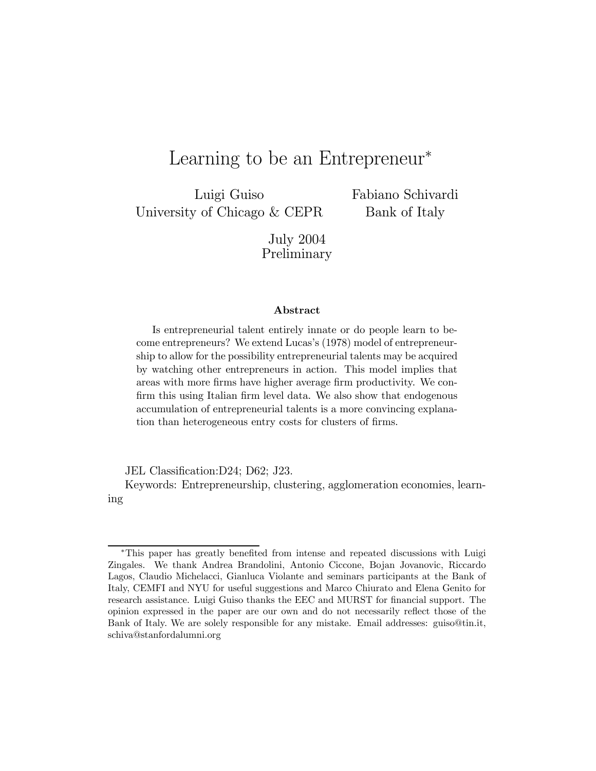# Learning to be an Entrepreneur<sup>∗</sup>

Luigi Guiso University of Chicago & CEPR Fabiano Schivardi Bank of Italy

July 2004 Preliminary

#### Abstract

Is entrepreneurial talent entirely innate or do people learn to become entrepreneurs? We extend Lucas's (1978) model of entrepreneurship to allow for the possibility entrepreneurial talents may be acquired by watching other entrepreneurs in action. This model implies that areas with more firms have higher average firm productivity. We confirm this using Italian firm level data. We also show that endogenous accumulation of entrepreneurial talents is a more convincing explanation than heterogeneous entry costs for clusters of firms.

JEL Classification:D24; D62; J23.

Keywords: Entrepreneurship, clustering, agglomeration economies, learning

<sup>∗</sup>This paper has greatly benefited from intense and repeated discussions with Luigi Zingales. We thank Andrea Brandolini, Antonio Ciccone, Bojan Jovanovic, Riccardo Lagos, Claudio Michelacci, Gianluca Violante and seminars participants at the Bank of Italy, CEMFI and NYU for useful suggestions and Marco Chiurato and Elena Genito for research assistance. Luigi Guiso thanks the EEC and MURST for financial support. The opinion expressed in the paper are our own and do not necessarily reflect those of the Bank of Italy. We are solely responsible for any mistake. Email addresses: guiso@tin.it, schiva@stanfordalumni.org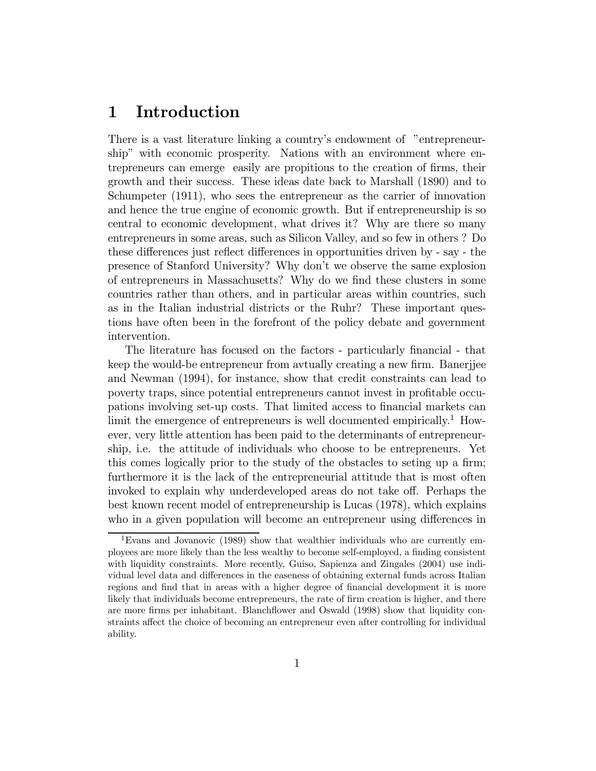## 1 Introduction

There is a vast literature linking a country's endowment of "entrepreneurship" with economic prosperity. Nations with an environment where entrepreneurs can emerge easily are propitious to the creation of firms, their growth and their success. These ideas date back to Marshall (1890) and to Schumpeter (1911), who sees the entrepreneur as the carrier of innovation and hence the true engine of economic growth. But if entrepreneurship is so central to economic development, what drives it? Why are there so many entrepreneurs in some areas, such as Silicon Valley, and so few in others ? Do these differences just reflect differences in opportunities driven by - say - the presence of Stanford University? Why don't we observe the same explosion of entrepreneurs in Massachusetts? Why do we find these clusters in some countries rather than others, and in particular areas within countries, such as in the Italian industrial districts or the Ruhr? These important questions have often been in the forefront of the policy debate and government intervention.

The literature has focused on the factors - particularly financial - that keep the would-be entrepreneur from avtually creating a new firm. Banerjjee and Newman (1994), for instance, show that credit constraints can lead to poverty traps, since potential entrepreneurs cannot invest in profitable occupations involving set-up costs. That limited access to financial markets can limit the emergence of entrepreneurs is well documented empirically.<sup>1</sup> However, very little attention has been paid to the determinants of entrepreneurship, i.e. the attitude of individuals who choose to be entrepreneurs. Yet this comes logically prior to the study of the obstacles to seting up a firm; furthermore it is the lack of the entrepreneurial attitude that is most often invoked to explain why underdeveloped areas do not take off. Perhaps the best known recent model of entrepreneurship is Lucas (1978), which explains who in a given population will become an entrepreneur using differences in

<sup>&</sup>lt;sup>1</sup>Evans and Jovanovic (1989) show that wealthier individuals who are currently employees are more likely than the less wealthy to become self-employed, a finding consistent with liquidity constraints. More recently, Guiso, Sapienza and Zingales (2004) use individual level data and differences in the easeness of obtaining external funds across Italian regions and find that in areas with a higher degree of financial development it is more likely that individuals become entrepreneurs, the rate of firm creation is higher, and there are more firms per inhabitant. Blanchflower and Oswald (1998) show that liquidity constraints affect the choice of becoming an entrepreneur even after controlling for individual ability.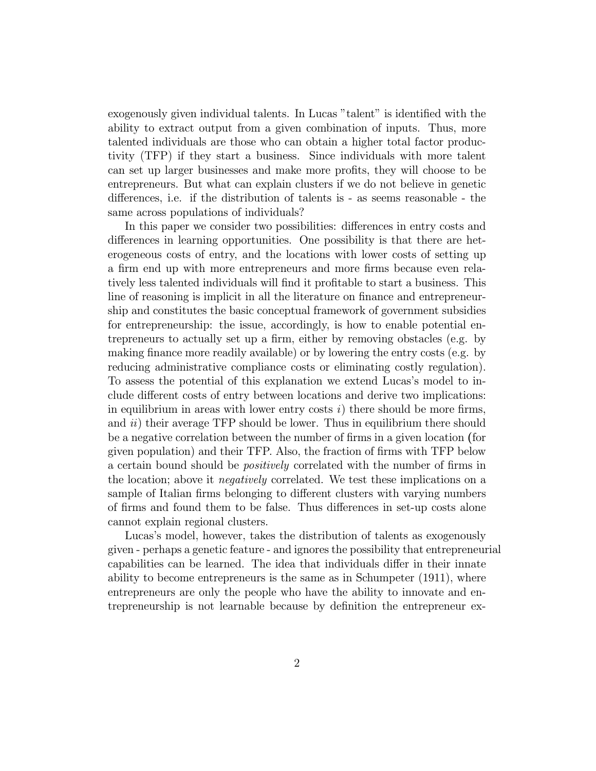exogenously given individual talents. In Lucas "talent" is identified with the ability to extract output from a given combination of inputs. Thus, more talented individuals are those who can obtain a higher total factor productivity (TFP) if they start a business. Since individuals with more talent can set up larger businesses and make more profits, they will choose to be entrepreneurs. But what can explain clusters if we do not believe in genetic differences, i.e. if the distribution of talents is - as seems reasonable - the same across populations of individuals?

In this paper we consider two possibilities: differences in entry costs and differences in learning opportunities. One possibility is that there are heterogeneous costs of entry, and the locations with lower costs of setting up a firm end up with more entrepreneurs and more firms because even relatively less talented individuals will find it profitable to start a business. This line of reasoning is implicit in all the literature on finance and entrepreneurship and constitutes the basic conceptual framework of government subsidies for entrepreneurship: the issue, accordingly, is how to enable potential entrepreneurs to actually set up a firm, either by removing obstacles (e.g. by making finance more readily available) or by lowering the entry costs (e.g. by reducing administrative compliance costs or eliminating costly regulation). To assess the potential of this explanation we extend Lucas's model to include different costs of entry between locations and derive two implications: in equilibrium in areas with lower entry costs  $i$ ) there should be more firms, and  $ii)$  their average TFP should be lower. Thus in equilibrium there should be a negative correlation between the number of firms in a given location (for given population) and their TFP. Also, the fraction of firms with TFP below a certain bound should be *positively* correlated with the number of firms in the location; above it negatively correlated. We test these implications on a sample of Italian firms belonging to different clusters with varying numbers of firms and found them to be false. Thus differences in set-up costs alone cannot explain regional clusters.

Lucas's model, however, takes the distribution of talents as exogenously given - perhaps a genetic feature - and ignores the possibility that entrepreneurial capabilities can be learned. The idea that individuals differ in their innate ability to become entrepreneurs is the same as in Schumpeter (1911), where entrepreneurs are only the people who have the ability to innovate and entrepreneurship is not learnable because by definition the entrepreneur ex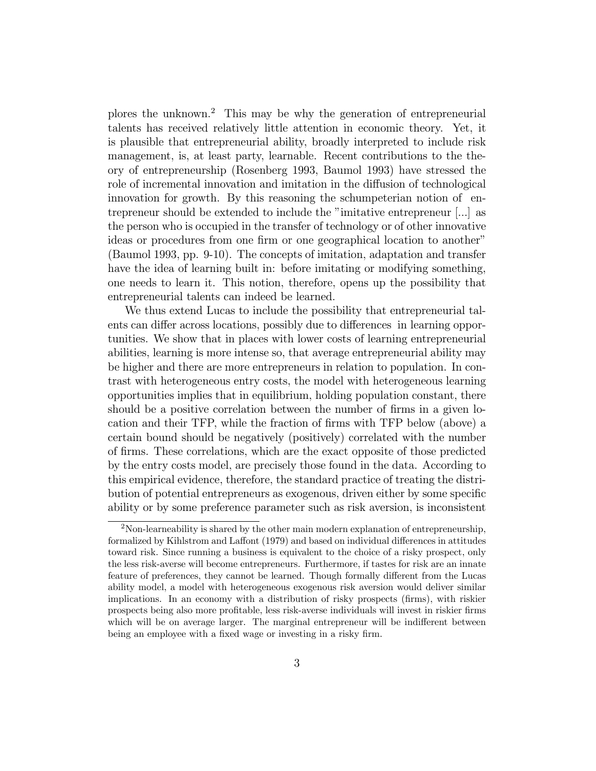plores the unknown.<sup>2</sup> This may be why the generation of entrepreneurial talents has received relatively little attention in economic theory. Yet, it is plausible that entrepreneurial ability, broadly interpreted to include risk management, is, at least party, learnable. Recent contributions to the theory of entrepreneurship (Rosenberg 1993, Baumol 1993) have stressed the role of incremental innovation and imitation in the diffusion of technological innovation for growth. By this reasoning the schumpeterian notion of entrepreneur should be extended to include the "imitative entrepreneur [...] as the person who is occupied in the transfer of technology or of other innovative ideas or procedures from one firm or one geographical location to another" (Baumol 1993, pp. 9-10). The concepts of imitation, adaptation and transfer have the idea of learning built in: before imitating or modifying something, one needs to learn it. This notion, therefore, opens up the possibility that entrepreneurial talents can indeed be learned.

We thus extend Lucas to include the possibility that entrepreneurial talents can differ across locations, possibly due to differences in learning opportunities. We show that in places with lower costs of learning entrepreneurial abilities, learning is more intense so, that average entrepreneurial ability may be higher and there are more entrepreneurs in relation to population. In contrast with heterogeneous entry costs, the model with heterogeneous learning opportunities implies that in equilibrium, holding population constant, there should be a positive correlation between the number of firms in a given location and their TFP, while the fraction of firms with TFP below (above) a certain bound should be negatively (positively) correlated with the number of firms. These correlations, which are the exact opposite of those predicted by the entry costs model, are precisely those found in the data. According to this empirical evidence, therefore, the standard practice of treating the distribution of potential entrepreneurs as exogenous, driven either by some specific ability or by some preference parameter such as risk aversion, is inconsistent

 $2^2$ Non-learneability is shared by the other main modern explanation of entrepreneurship, formalized by Kihlstrom and Laffont (1979) and based on individual differences in attitudes toward risk. Since running a business is equivalent to the choice of a risky prospect, only the less risk-averse will become entrepreneurs. Furthermore, if tastes for risk are an innate feature of preferences, they cannot be learned. Though formally different from the Lucas ability model, a model with heterogeneous exogenous risk aversion would deliver similar implications. In an economy with a distribution of risky prospects (firms), with riskier prospects being also more profitable, less risk-averse individuals will invest in riskier firms which will be on average larger. The marginal entrepreneur will be indifferent between being an employee with a fixed wage or investing in a risky firm.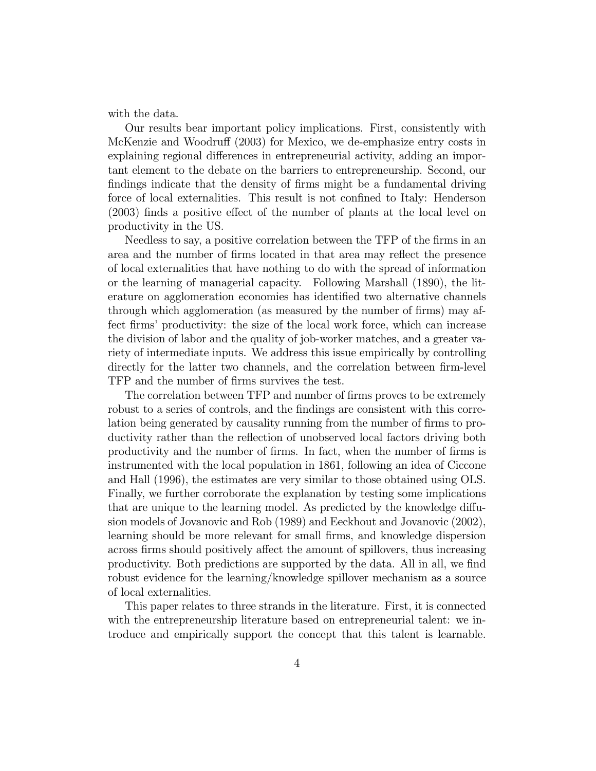with the data.

Our results bear important policy implications. First, consistently with McKenzie and Woodruff (2003) for Mexico, we de-emphasize entry costs in explaining regional differences in entrepreneurial activity, adding an important element to the debate on the barriers to entrepreneurship. Second, our findings indicate that the density of firms might be a fundamental driving force of local externalities. This result is not confined to Italy: Henderson (2003) finds a positive effect of the number of plants at the local level on productivity in the US.

Needless to say, a positive correlation between the TFP of the firms in an area and the number of firms located in that area may reflect the presence of local externalities that have nothing to do with the spread of information or the learning of managerial capacity. Following Marshall (1890), the literature on agglomeration economies has identified two alternative channels through which agglomeration (as measured by the number of firms) may affect firms' productivity: the size of the local work force, which can increase the division of labor and the quality of job-worker matches, and a greater variety of intermediate inputs. We address this issue empirically by controlling directly for the latter two channels, and the correlation between firm-level TFP and the number of firms survives the test.

The correlation between TFP and number of firms proves to be extremely robust to a series of controls, and the findings are consistent with this correlation being generated by causality running from the number of firms to productivity rather than the reflection of unobserved local factors driving both productivity and the number of firms. In fact, when the number of firms is instrumented with the local population in 1861, following an idea of Ciccone and Hall (1996), the estimates are very similar to those obtained using OLS. Finally, we further corroborate the explanation by testing some implications that are unique to the learning model. As predicted by the knowledge diffusion models of Jovanovic and Rob (1989) and Eeckhout and Jovanovic (2002), learning should be more relevant for small firms, and knowledge dispersion across firms should positively affect the amount of spillovers, thus increasing productivity. Both predictions are supported by the data. All in all, we find robust evidence for the learning/knowledge spillover mechanism as a source of local externalities.

This paper relates to three strands in the literature. First, it is connected with the entrepreneurship literature based on entrepreneurial talent: we introduce and empirically support the concept that this talent is learnable.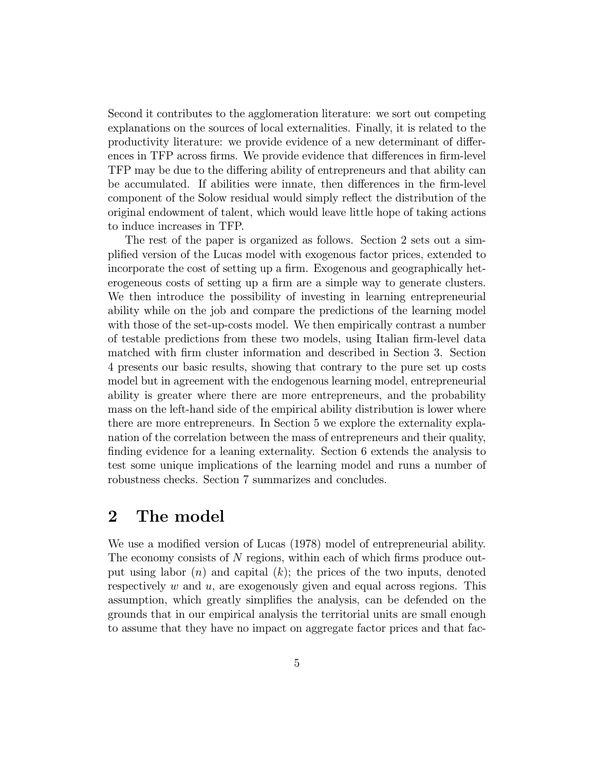Second it contributes to the agglomeration literature: we sort out competing explanations on the sources of local externalities. Finally, it is related to the productivity literature: we provide evidence of a new determinant of differences in TFP across firms. We provide evidence that differences in firm-level TFP may be due to the differing ability of entrepreneurs and that ability can be accumulated. If abilities were innate, then differences in the firm-level component of the Solow residual would simply reflect the distribution of the original endowment of talent, which would leave little hope of taking actions to induce increases in TFP.

The rest of the paper is organized as follows. Section 2 sets out a simplified version of the Lucas model with exogenous factor prices, extended to incorporate the cost of setting up a firm. Exogenous and geographically heterogeneous costs of setting up a firm are a simple way to generate clusters. We then introduce the possibility of investing in learning entrepreneurial ability while on the job and compare the predictions of the learning model with those of the set-up-costs model. We then empirically contrast a number of testable predictions from these two models, using Italian firm-level data matched with firm cluster information and described in Section 3. Section 4 presents our basic results, showing that contrary to the pure set up costs model but in agreement with the endogenous learning model, entrepreneurial ability is greater where there are more entrepreneurs, and the probability mass on the left-hand side of the empirical ability distribution is lower where there are more entrepreneurs. In Section 5 we explore the externality explanation of the correlation between the mass of entrepreneurs and their quality, finding evidence for a leaning externality. Section 6 extends the analysis to test some unique implications of the learning model and runs a number of robustness checks. Section 7 summarizes and concludes.

## 2 The model

We use a modified version of Lucas (1978) model of entrepreneurial ability. The economy consists of N regions, within each of which firms produce output using labor  $(n)$  and capital  $(k)$ ; the prices of the two inputs, denoted respectively  $w$  and  $u$ , are exogenously given and equal across regions. This assumption, which greatly simplifies the analysis, can be defended on the grounds that in our empirical analysis the territorial units are small enough to assume that they have no impact on aggregate factor prices and that fac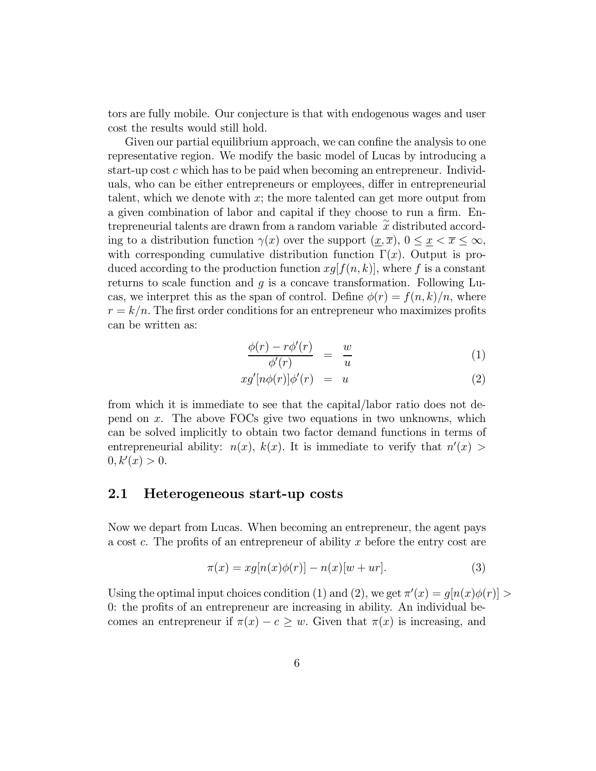tors are fully mobile. Our conjecture is that with endogenous wages and user cost the results would still hold.

Given our partial equilibrium approach, we can confine the analysis to one representative region. We modify the basic model of Lucas by introducing a start-up cost c which has to be paid when becoming an entrepreneur. Individuals, who can be either entrepreneurs or employees, differ in entrepreneurial talent, which we denote with  $x$ ; the more talented can get more output from a given combination of labor and capital if they choose to run a firm. Entrepreneurial talents are drawn from a random variable  $\tilde{x}$  distributed according to a distribution function  $\gamma(x)$  over the support  $(\underline{x}, \overline{x}), 0 \leq \underline{x} < \overline{x} \leq \infty$ , with corresponding cumulative distribution function  $\Gamma(x)$ . Output is produced according to the production function  $xg[f(n, k)]$ , where f is a constant returns to scale function and  $g$  is a concave transformation. Following Lucas, we interpret this as the span of control. Define  $\phi(r) = f(n, k)/n$ , where  $r = k/n$ . The first order conditions for an entrepreneur who maximizes profits can be written as:

$$
\frac{\phi(r) - r\phi'(r)}{\phi'(r)} = \frac{w}{u} \tag{1}
$$

$$
xg'[n\phi(r)]\phi'(r) = u \tag{2}
$$

from which it is immediate to see that the capital/labor ratio does not depend on x. The above FOCs give two equations in two unknowns, which can be solved implicitly to obtain two factor demand functions in terms of entrepreneurial ability:  $n(x)$ ,  $k(x)$ . It is immediate to verify that  $n'(x)$  $0, k'(x) > 0.$ 

### 2.1 Heterogeneous start-up costs

Now we depart from Lucas. When becoming an entrepreneur, the agent pays a cost c. The profits of an entrepreneur of ability x before the entry cost are

$$
\pi(x) = xg[n(x)\phi(r)] - n(x)[w+ur].\tag{3}
$$

Using the optimal input choices condition (1) and (2), we get  $\pi'(x) = g[n(x)\phi(r)] >$ 0: the profits of an entrepreneur are increasing in ability. An individual becomes an entrepreneur if  $\pi(x) - c \geq w$ . Given that  $\pi(x)$  is increasing, and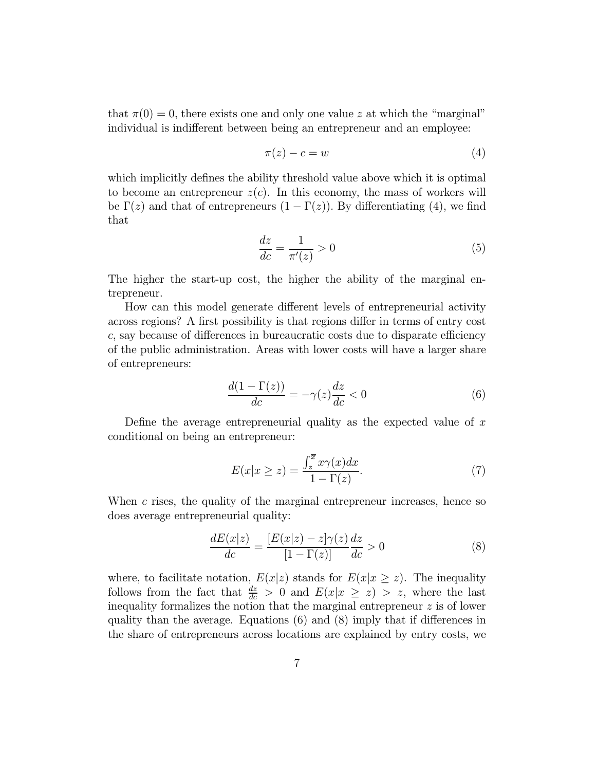that  $\pi(0) = 0$ , there exists one and only one value z at which the "marginal" individual is indifferent between being an entrepreneur and an employee:

$$
\pi(z) - c = w \tag{4}
$$

which implicitly defines the ability threshold value above which it is optimal to become an entrepreneur  $z(c)$ . In this economy, the mass of workers will be  $\Gamma(z)$  and that of entrepreneurs  $(1 - \Gamma(z))$ . By differentiating (4), we find that

$$
\frac{dz}{dc} = \frac{1}{\pi'(z)} > 0\tag{5}
$$

The higher the start-up cost, the higher the ability of the marginal entrepreneur.

How can this model generate different levels of entrepreneurial activity across regions? A first possibility is that regions differ in terms of entry cost c, say because of differences in bureaucratic costs due to disparate efficiency of the public administration. Areas with lower costs will have a larger share of entrepreneurs:

$$
\frac{d(1-\Gamma(z))}{dc} = -\gamma(z)\frac{dz}{dc} < 0\tag{6}
$$

Define the average entrepreneurial quality as the expected value of  $x$ conditional on being an entrepreneur:

$$
E(x|x \ge z) = \frac{\int_{z}^{\overline{x}} x\gamma(x)dx}{1 - \Gamma(z)}.
$$
\n(7)

When  $c$  rises, the quality of the marginal entrepreneur increases, hence so does average entrepreneurial quality:

$$
\frac{dE(x|z)}{dc} = \frac{[E(x|z) - z]\gamma(z)}{[1 - \Gamma(z)]}\frac{dz}{dc} > 0\tag{8}
$$

where, to facilitate notation,  $E(x|z)$  stands for  $E(x|x \geq z)$ . The inequality follows from the fact that  $\frac{dz}{dc} > 0$  and  $E(x|x \ge z) > z$ , where the last inequality formalizes the notion that the marginal entrepreneur  $z$  is of lower quality than the average. Equations (6) and (8) imply that if differences in the share of entrepreneurs across locations are explained by entry costs, we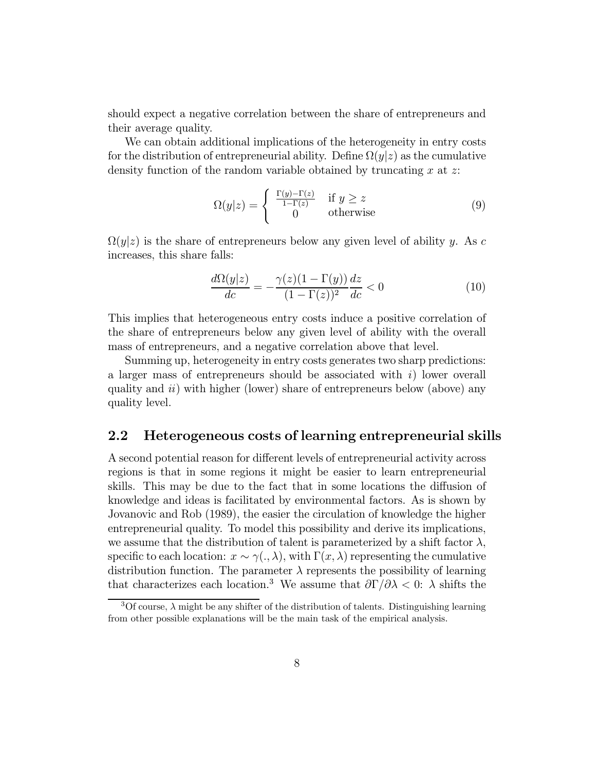should expect a negative correlation between the share of entrepreneurs and their average quality.

We can obtain additional implications of the heterogeneity in entry costs for the distribution of entrepreneurial ability. Define  $\Omega(y|z)$  as the cumulative density function of the random variable obtained by truncating  $x$  at  $z$ :

$$
\Omega(y|z) = \begin{cases} \frac{\Gamma(y) - \Gamma(z)}{1 - \Gamma(z)} & \text{if } y \ge z \\ 0 & \text{otherwise} \end{cases}
$$
 (9)

 $\Omega(y|z)$  is the share of entrepreneurs below any given level of ability y. As c increases, this share falls:

$$
\frac{d\Omega(y|z)}{dc} = -\frac{\gamma(z)(1-\Gamma(y))}{(1-\Gamma(z))^2}\frac{dz}{dc} < 0\tag{10}
$$

This implies that heterogeneous entry costs induce a positive correlation of the share of entrepreneurs below any given level of ability with the overall mass of entrepreneurs, and a negative correlation above that level.

Summing up, heterogeneity in entry costs generates two sharp predictions: a larger mass of entrepreneurs should be associated with  $i$ ) lower overall quality and  $ii)$  with higher (lower) share of entrepreneurs below (above) any quality level.

### 2.2 Heterogeneous costs of learning entrepreneurial skills

A second potential reason for different levels of entrepreneurial activity across regions is that in some regions it might be easier to learn entrepreneurial skills. This may be due to the fact that in some locations the diffusion of knowledge and ideas is facilitated by environmental factors. As is shown by Jovanovic and Rob (1989), the easier the circulation of knowledge the higher entrepreneurial quality. To model this possibility and derive its implications, we assume that the distribution of talent is parameterized by a shift factor  $\lambda$ , specific to each location:  $x \sim \gamma(.)$ , with  $\Gamma(x, \lambda)$  representing the cumulative distribution function. The parameter  $\lambda$  represents the possibility of learning that characterizes each location.<sup>3</sup> We assume that  $\frac{\partial \Gamma}{\partial \lambda} < 0$ :  $\lambda$  shifts the

 $3$ Of course,  $\lambda$  might be any shifter of the distribution of talents. Distinguishing learning from other possible explanations will be the main task of the empirical analysis.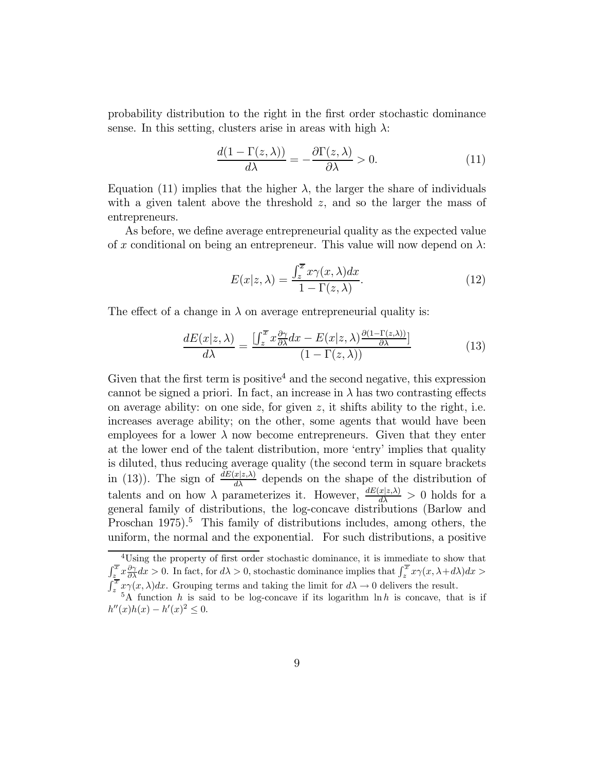probability distribution to the right in the first order stochastic dominance sense. In this setting, clusters arise in areas with high  $\lambda$ :

$$
\frac{d(1 - \Gamma(z, \lambda))}{d\lambda} = -\frac{\partial \Gamma(z, \lambda)}{\partial \lambda} > 0.
$$
 (11)

Equation (11) implies that the higher  $\lambda$ , the larger the share of individuals with a given talent above the threshold  $z$ , and so the larger the mass of entrepreneurs.

As before, we define average entrepreneurial quality as the expected value of x conditional on being an entrepreneur. This value will now depend on  $\lambda$ :

$$
E(x|z,\lambda) = \frac{\int_{z}^{\overline{x}} x\gamma(x,\lambda)dx}{1 - \Gamma(z,\lambda)}.
$$
\n(12)

The effect of a change in  $\lambda$  on average entrepreneurial quality is:

$$
\frac{dE(x|z,\lambda)}{d\lambda} = \frac{\left[\int_z^{\overline{x}} x \frac{\partial \gamma}{\partial \lambda} dx - E(x|z,\lambda) \frac{\partial (1-\Gamma(z,\lambda))}{\partial \lambda}\right]}{(1-\Gamma(z,\lambda))}
$$
(13)

Given that the first term is positive<sup>4</sup> and the second negative, this expression cannot be signed a priori. In fact, an increase in  $\lambda$  has two contrasting effects on average ability: on one side, for given  $z$ , it shifts ability to the right, i.e. increases average ability; on the other, some agents that would have been employees for a lower  $\lambda$  now become entrepreneurs. Given that they enter at the lower end of the talent distribution, more 'entry' implies that quality is diluted, thus reducing average quality (the second term in square brackets in (13)). The sign of  $\frac{dE(x|z,\lambda)}{d\lambda}$  depends on the shape of the distribution of talents and on how  $\lambda$  parameterizes it. However,  $\frac{dE(x|z,\lambda)}{d\lambda} > 0$  holds for a general family of distributions, the log-concave distributions (Barlow and Proschan 1975).<sup>5</sup> This family of distributions includes, among others, the uniform, the normal and the exponential. For such distributions, a positive

<sup>&</sup>lt;sup>4</sup>Using the property of first order stochastic dominance, it is immediate to show that  $\int_{z}^{\overline{x}} x \frac{\partial \gamma}{\partial \lambda} dx > 0$ . In fact, for  $d\lambda > 0$ , stochastic dominance implies that  $\int_{z}^{\overline{x}} x \gamma(x, \lambda + d\lambda) dx > 0$  $\int_{z}^{\overline{x}} x\gamma(x,\lambda)dx$ . Grouping terms and taking the limit for  $d\lambda \to 0$  delivers the result.

 $5A$  function h is said to be log-concave if its logarithm  $\ln h$  is concave, that is if  $h''(x)h(x) - h'(x)^2 \leq 0.$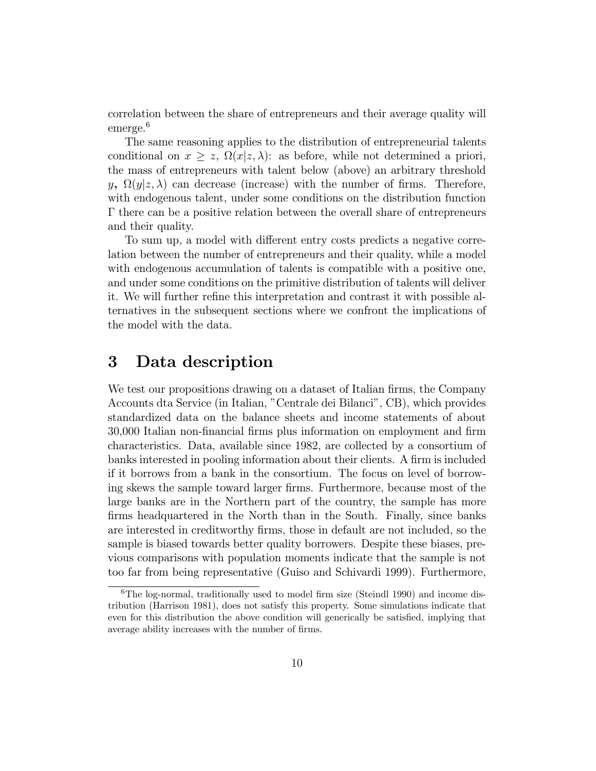correlation between the share of entrepreneurs and their average quality will emerge.<sup>6</sup>

The same reasoning applies to the distribution of entrepreneurial talents conditional on  $x \ge z$ ,  $\Omega(x|z,\lambda)$ : as before, while not determined a priori, the mass of entrepreneurs with talent below (above) an arbitrary threshold y,  $\Omega(y|z,\lambda)$  can decrease (increase) with the number of firms. Therefore, with endogenous talent, under some conditions on the distribution function Γ there can be a positive relation between the overall share of entrepreneurs and their quality.

To sum up, a model with different entry costs predicts a negative correlation between the number of entrepreneurs and their quality, while a model with endogenous accumulation of talents is compatible with a positive one, and under some conditions on the primitive distribution of talents will deliver it. We will further refine this interpretation and contrast it with possible alternatives in the subsequent sections where we confront the implications of the model with the data.

## 3 Data description

We test our propositions drawing on a dataset of Italian firms, the Company Accounts dta Service (in Italian, "Centrale dei Bilanci", CB), which provides standardized data on the balance sheets and income statements of about 30,000 Italian non-financial firms plus information on employment and firm characteristics. Data, available since 1982, are collected by a consortium of banks interested in pooling information about their clients. A firm is included if it borrows from a bank in the consortium. The focus on level of borrowing skews the sample toward larger firms. Furthermore, because most of the large banks are in the Northern part of the country, the sample has more firms headquartered in the North than in the South. Finally, since banks are interested in creditworthy firms, those in default are not included, so the sample is biased towards better quality borrowers. Despite these biases, previous comparisons with population moments indicate that the sample is not too far from being representative (Guiso and Schivardi 1999). Furthermore,

<sup>6</sup>The log-normal, traditionally used to model firm size (Steindl 1990) and income distribution (Harrison 1981), does not satisfy this property. Some simulations indicate that even for this distribution the above condition will generically be satisfied, implying that average ability increases with the number of firms.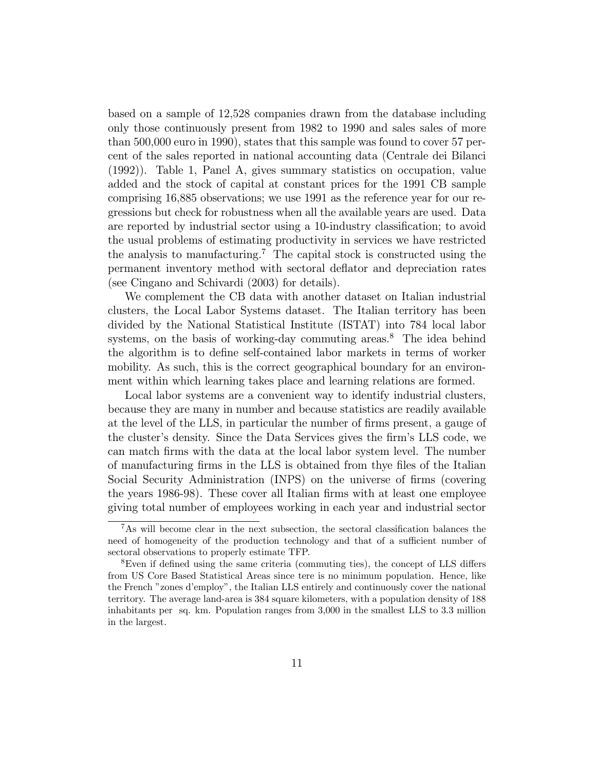based on a sample of 12,528 companies drawn from the database including only those continuously present from 1982 to 1990 and sales sales of more than 500,000 euro in 1990), states that this sample was found to cover 57 percent of the sales reported in national accounting data (Centrale dei Bilanci (1992)). Table 1, Panel A, gives summary statistics on occupation, value added and the stock of capital at constant prices for the 1991 CB sample comprising 16,885 observations; we use 1991 as the reference year for our regressions but check for robustness when all the available years are used. Data are reported by industrial sector using a 10-industry classification; to avoid the usual problems of estimating productivity in services we have restricted the analysis to manufacturing.<sup>7</sup> The capital stock is constructed using the permanent inventory method with sectoral deflator and depreciation rates (see Cingano and Schivardi (2003) for details).

We complement the CB data with another dataset on Italian industrial clusters, the Local Labor Systems dataset. The Italian territory has been divided by the National Statistical Institute (ISTAT) into 784 local labor systems, on the basis of working-day commuting areas.<sup>8</sup> The idea behind the algorithm is to define self-contained labor markets in terms of worker mobility. As such, this is the correct geographical boundary for an environment within which learning takes place and learning relations are formed.

Local labor systems are a convenient way to identify industrial clusters, because they are many in number and because statistics are readily available at the level of the LLS, in particular the number of firms present, a gauge of the cluster's density. Since the Data Services gives the firm's LLS code, we can match firms with the data at the local labor system level. The number of manufacturing firms in the LLS is obtained from thye files of the Italian Social Security Administration (INPS) on the universe of firms (covering the years 1986-98). These cover all Italian firms with at least one employee giving total number of employees working in each year and industrial sector

<sup>&</sup>lt;sup>7</sup>As will become clear in the next subsection, the sectoral classification balances the need of homogeneity of the production technology and that of a sufficient number of sectoral observations to properly estimate TFP.

<sup>8</sup>Even if defined using the same criteria (commuting ties), the concept of LLS differs from US Core Based Statistical Areas since tere is no minimum population. Hence, like the French "zones d'employ", the Italian LLS entirely and continuously cover the national territory. The average land-area is 384 square kilometers, with a population density of 188 inhabitants per sq. km. Population ranges from 3,000 in the smallest LLS to 3.3 million in the largest.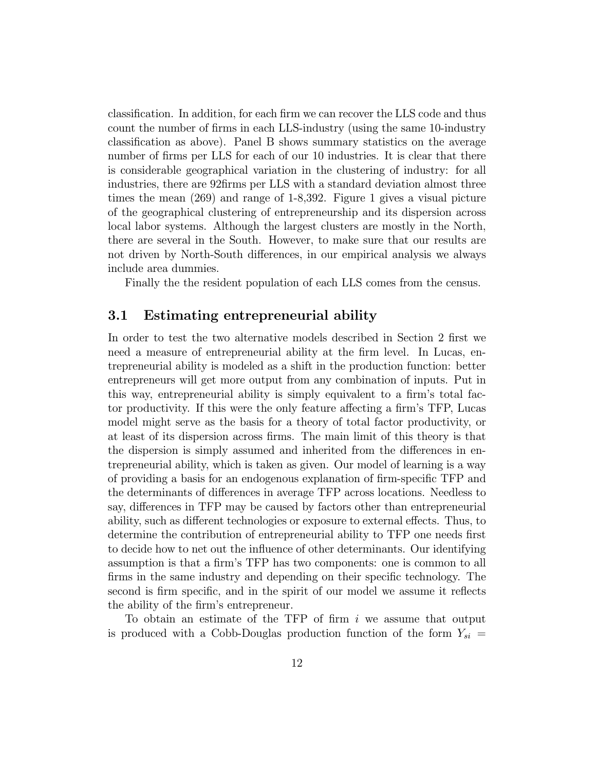classification. In addition, for each firm we can recover the LLS code and thus count the number of firms in each LLS-industry (using the same 10-industry classification as above). Panel B shows summary statistics on the average number of firms per LLS for each of our 10 industries. It is clear that there is considerable geographical variation in the clustering of industry: for all industries, there are 92firms per LLS with a standard deviation almost three times the mean (269) and range of 1-8,392. Figure 1 gives a visual picture of the geographical clustering of entrepreneurship and its dispersion across local labor systems. Although the largest clusters are mostly in the North, there are several in the South. However, to make sure that our results are not driven by North-South differences, in our empirical analysis we always include area dummies.

Finally the the resident population of each LLS comes from the census.

### 3.1 Estimating entrepreneurial ability

In order to test the two alternative models described in Section 2 first we need a measure of entrepreneurial ability at the firm level. In Lucas, entrepreneurial ability is modeled as a shift in the production function: better entrepreneurs will get more output from any combination of inputs. Put in this way, entrepreneurial ability is simply equivalent to a firm's total factor productivity. If this were the only feature affecting a firm's TFP, Lucas model might serve as the basis for a theory of total factor productivity, or at least of its dispersion across firms. The main limit of this theory is that the dispersion is simply assumed and inherited from the differences in entrepreneurial ability, which is taken as given. Our model of learning is a way of providing a basis for an endogenous explanation of firm-specific TFP and the determinants of differences in average TFP across locations. Needless to say, differences in TFP may be caused by factors other than entrepreneurial ability, such as different technologies or exposure to external effects. Thus, to determine the contribution of entrepreneurial ability to TFP one needs first to decide how to net out the influence of other determinants. Our identifying assumption is that a firm's TFP has two components: one is common to all firms in the same industry and depending on their specific technology. The second is firm specific, and in the spirit of our model we assume it reflects the ability of the firm's entrepreneur.

To obtain an estimate of the TFP of firm i we assume that output is produced with a Cobb-Douglas production function of the form  $Y_{si}$  =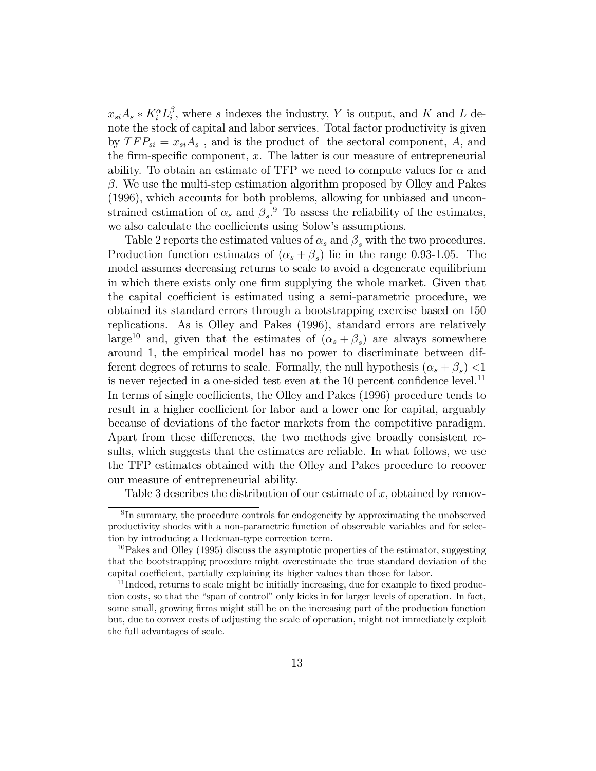$x_{si}A_s * K_i^{\alpha}L_i^{\beta}$ , where s indexes the industry, Y is output, and K and L denote the stock of capital and labor services. Total factor productivity is given by  $TFP_{si} = x_{si}A_s$ , and is the product of the sectoral component, A, and the firm-specific component, x. The latter is our measure of entrepreneurial ability. To obtain an estimate of TFP we need to compute values for  $\alpha$  and  $\beta$ . We use the multi-step estimation algorithm proposed by Olley and Pakes (1996), which accounts for both problems, allowing for unbiased and unconstrained estimation of  $\alpha_s$  and  $\beta_s$ .<sup>9</sup> To assess the reliability of the estimates, we also calculate the coefficients using Solow's assumptions.

Table 2 reports the estimated values of  $\alpha_s$  and  $\beta_s$  with the two procedures. Production function estimates of  $(\alpha_s + \beta_s)$  lie in the range 0.93-1.05. The model assumes decreasing returns to scale to avoid a degenerate equilibrium in which there exists only one firm supplying the whole market. Given that the capital coefficient is estimated using a semi-parametric procedure, we obtained its standard errors through a bootstrapping exercise based on 150 replications. As is Olley and Pakes (1996), standard errors are relatively large<sup>10</sup> and, given that the estimates of  $(\alpha_s + \beta_s)$  are always somewhere around 1, the empirical model has no power to discriminate between different degrees of returns to scale. Formally, the null hypothesis  $(\alpha_s + \beta_s)$  <1 is never rejected in a one-sided test even at the 10 percent confidence level.<sup>11</sup> In terms of single coefficients, the Olley and Pakes (1996) procedure tends to result in a higher coefficient for labor and a lower one for capital, arguably because of deviations of the factor markets from the competitive paradigm. Apart from these differences, the two methods give broadly consistent results, which suggests that the estimates are reliable. In what follows, we use the TFP estimates obtained with the Olley and Pakes procedure to recover our measure of entrepreneurial ability.

Table 3 describes the distribution of our estimate of  $x$ , obtained by remov-

<sup>&</sup>lt;sup>9</sup>In summary, the procedure controls for endogeneity by approximating the unobserved productivity shocks with a non-parametric function of observable variables and for selection by introducing a Heckman-type correction term.

 $10P$ akes and Olley (1995) discuss the asymptotic properties of the estimator, suggesting that the bootstrapping procedure might overestimate the true standard deviation of the capital coefficient, partially explaining its higher values than those for labor.

 $11$ Indeed, returns to scale might be initially increasing, due for example to fixed production costs, so that the "span of control" only kicks in for larger levels of operation. In fact, some small, growing firms might still be on the increasing part of the production function but, due to convex costs of adjusting the scale of operation, might not immediately exploit the full advantages of scale.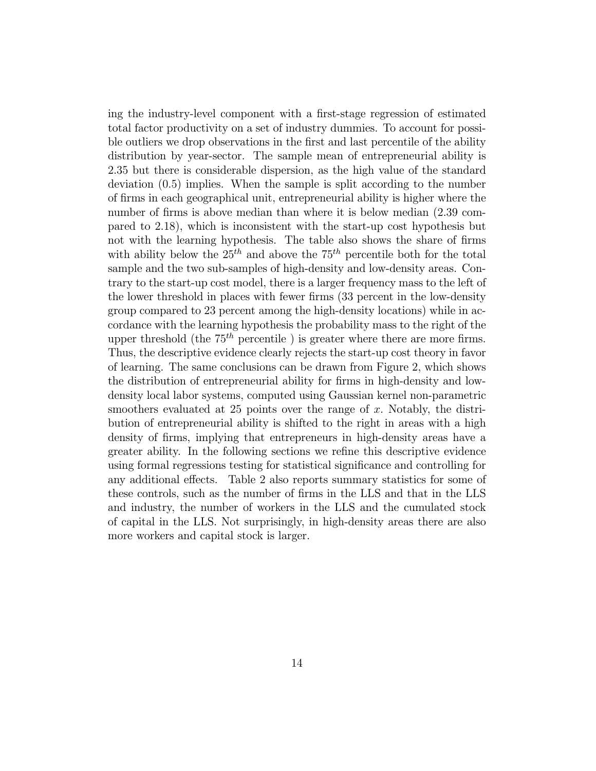ing the industry-level component with a first-stage regression of estimated total factor productivity on a set of industry dummies. To account for possible outliers we drop observations in the first and last percentile of the ability distribution by year-sector. The sample mean of entrepreneurial ability is 2.35 but there is considerable dispersion, as the high value of the standard deviation (0.5) implies. When the sample is split according to the number of firms in each geographical unit, entrepreneurial ability is higher where the number of firms is above median than where it is below median (2.39 compared to 2.18), which is inconsistent with the start-up cost hypothesis but not with the learning hypothesis. The table also shows the share of firms with ability below the  $25<sup>th</sup>$  and above the 75<sup>th</sup> percentile both for the total sample and the two sub-samples of high-density and low-density areas. Contrary to the start-up cost model, there is a larger frequency mass to the left of the lower threshold in places with fewer firms (33 percent in the low-density group compared to 23 percent among the high-density locations) while in accordance with the learning hypothesis the probability mass to the right of the upper threshold (the  $75<sup>th</sup>$  percentile) is greater where there are more firms. Thus, the descriptive evidence clearly rejects the start-up cost theory in favor of learning. The same conclusions can be drawn from Figure 2, which shows the distribution of entrepreneurial ability for firms in high-density and lowdensity local labor systems, computed using Gaussian kernel non-parametric smoothers evaluated at 25 points over the range of x. Notably, the distribution of entrepreneurial ability is shifted to the right in areas with a high density of firms, implying that entrepreneurs in high-density areas have a greater ability. In the following sections we refine this descriptive evidence using formal regressions testing for statistical significance and controlling for any additional effects. Table 2 also reports summary statistics for some of these controls, such as the number of firms in the LLS and that in the LLS and industry, the number of workers in the LLS and the cumulated stock of capital in the LLS. Not surprisingly, in high-density areas there are also more workers and capital stock is larger.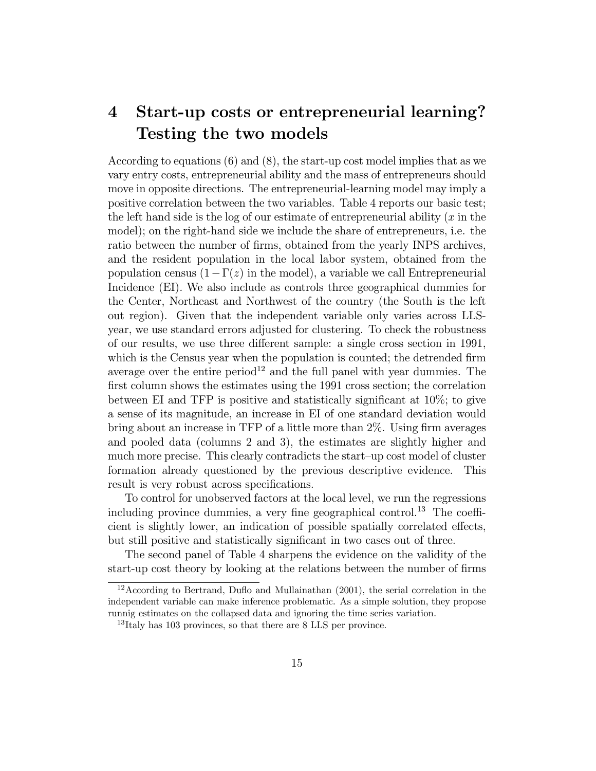# 4 Start-up costs or entrepreneurial learning? Testing the two models

According to equations (6) and (8), the start-up cost model implies that as we vary entry costs, entrepreneurial ability and the mass of entrepreneurs should move in opposite directions. The entrepreneurial-learning model may imply a positive correlation between the two variables. Table 4 reports our basic test; the left hand side is the log of our estimate of entrepreneurial ability  $(x \text{ in the})$ model); on the right-hand side we include the share of entrepreneurs, i.e. the ratio between the number of firms, obtained from the yearly INPS archives, and the resident population in the local labor system, obtained from the population census  $(1-\Gamma(z))$  in the model), a variable we call Entrepreneurial Incidence (EI). We also include as controls three geographical dummies for the Center, Northeast and Northwest of the country (the South is the left out region). Given that the independent variable only varies across LLSyear, we use standard errors adjusted for clustering. To check the robustness of our results, we use three different sample: a single cross section in 1991, which is the Census year when the population is counted; the detrended firm average over the entire period<sup>12</sup> and the full panel with year dummies. The first column shows the estimates using the 1991 cross section; the correlation between EI and TFP is positive and statistically significant at 10%; to give a sense of its magnitude, an increase in EI of one standard deviation would bring about an increase in TFP of a little more than 2%. Using firm averages and pooled data (columns 2 and 3), the estimates are slightly higher and much more precise. This clearly contradicts the start—up cost model of cluster formation already questioned by the previous descriptive evidence. This result is very robust across specifications.

To control for unobserved factors at the local level, we run the regressions including province dummies, a very fine geographical control.<sup>13</sup> The coefficient is slightly lower, an indication of possible spatially correlated effects, but still positive and statistically significant in two cases out of three.

The second panel of Table 4 sharpens the evidence on the validity of the start-up cost theory by looking at the relations between the number of firms

<sup>12</sup>According to Bertrand, Duflo and Mullainathan (2001), the serial correlation in the independent variable can make inference problematic. As a simple solution, they propose runnig estimates on the collapsed data and ignoring the time series variation.

<sup>&</sup>lt;sup>13</sup>Italy has 103 provinces, so that there are 8 LLS per province.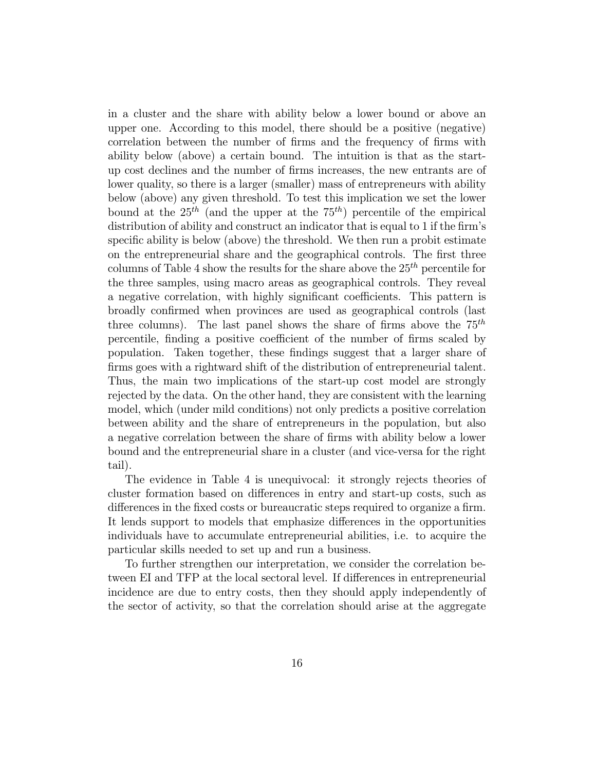in a cluster and the share with ability below a lower bound or above an upper one. According to this model, there should be a positive (negative) correlation between the number of firms and the frequency of firms with ability below (above) a certain bound. The intuition is that as the startup cost declines and the number of firms increases, the new entrants are of lower quality, so there is a larger (smaller) mass of entrepreneurs with ability below (above) any given threshold. To test this implication we set the lower bound at the  $25^{th}$  (and the upper at the  $75^{th}$ ) percentile of the empirical distribution of ability and construct an indicator that is equal to 1 if the firm's specific ability is below (above) the threshold. We then run a probit estimate on the entrepreneurial share and the geographical controls. The first three columns of Table 4 show the results for the share above the  $25<sup>th</sup>$  percentile for the three samples, using macro areas as geographical controls. They reveal a negative correlation, with highly significant coefficients. This pattern is broadly confirmed when provinces are used as geographical controls (last three columns). The last panel shows the share of firms above the  $75^{th}$ percentile, finding a positive coefficient of the number of firms scaled by population. Taken together, these findings suggest that a larger share of firms goes with a rightward shift of the distribution of entrepreneurial talent. Thus, the main two implications of the start-up cost model are strongly rejected by the data. On the other hand, they are consistent with the learning model, which (under mild conditions) not only predicts a positive correlation between ability and the share of entrepreneurs in the population, but also a negative correlation between the share of firms with ability below a lower bound and the entrepreneurial share in a cluster (and vice-versa for the right tail).

The evidence in Table 4 is unequivocal: it strongly rejects theories of cluster formation based on differences in entry and start-up costs, such as differences in the fixed costs or bureaucratic steps required to organize a firm. It lends support to models that emphasize differences in the opportunities individuals have to accumulate entrepreneurial abilities, i.e. to acquire the particular skills needed to set up and run a business.

To further strengthen our interpretation, we consider the correlation between EI and TFP at the local sectoral level. If differences in entrepreneurial incidence are due to entry costs, then they should apply independently of the sector of activity, so that the correlation should arise at the aggregate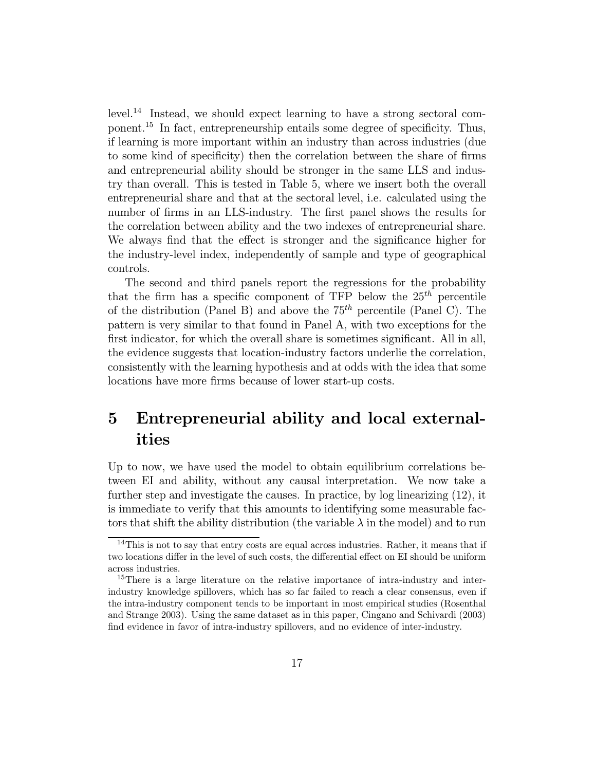level.<sup>14</sup> Instead, we should expect learning to have a strong sectoral component.<sup>15</sup> In fact, entrepreneurship entails some degree of specificity. Thus, if learning is more important within an industry than across industries (due to some kind of specificity) then the correlation between the share of firms and entrepreneurial ability should be stronger in the same LLS and industry than overall. This is tested in Table 5, where we insert both the overall entrepreneurial share and that at the sectoral level, i.e. calculated using the number of firms in an LLS-industry. The first panel shows the results for the correlation between ability and the two indexes of entrepreneurial share. We always find that the effect is stronger and the significance higher for the industry-level index, independently of sample and type of geographical controls.

The second and third panels report the regressions for the probability that the firm has a specific component of TFP below the  $25<sup>th</sup>$  percentile of the distribution (Panel B) and above the  $75<sup>th</sup>$  percentile (Panel C). The pattern is very similar to that found in Panel A, with two exceptions for the first indicator, for which the overall share is sometimes significant. All in all, the evidence suggests that location-industry factors underlie the correlation, consistently with the learning hypothesis and at odds with the idea that some locations have more firms because of lower start-up costs.

# 5 Entrepreneurial ability and local externalities

Up to now, we have used the model to obtain equilibrium correlations between EI and ability, without any causal interpretation. We now take a further step and investigate the causes. In practice, by log linearizing (12), it is immediate to verify that this amounts to identifying some measurable factors that shift the ability distribution (the variable  $\lambda$  in the model) and to run

 $14$ This is not to say that entry costs are equal across industries. Rather, it means that if two locations differ in the level of such costs, the differential effect on EI should be uniform across industries.

<sup>&</sup>lt;sup>15</sup>There is a large literature on the relative importance of intra-industry and interindustry knowledge spillovers, which has so far failed to reach a clear consensus, even if the intra-industry component tends to be important in most empirical studies (Rosenthal and Strange 2003). Using the same dataset as in this paper, Cingano and Schivardi (2003) find evidence in favor of intra-industry spillovers, and no evidence of inter-industry.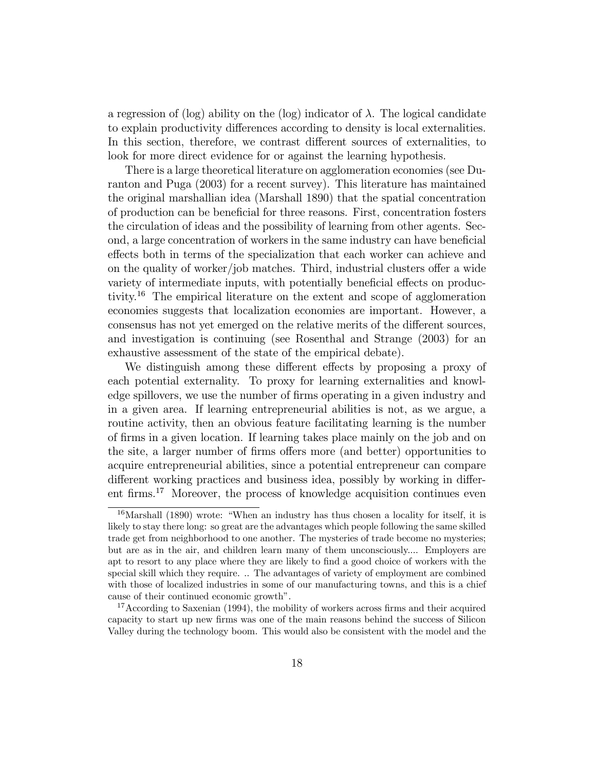a regression of (log) ability on the (log) indicator of  $\lambda$ . The logical candidate to explain productivity differences according to density is local externalities. In this section, therefore, we contrast different sources of externalities, to look for more direct evidence for or against the learning hypothesis.

There is a large theoretical literature on agglomeration economies (see Duranton and Puga (2003) for a recent survey). This literature has maintained the original marshallian idea (Marshall 1890) that the spatial concentration of production can be beneficial for three reasons. First, concentration fosters the circulation of ideas and the possibility of learning from other agents. Second, a large concentration of workers in the same industry can have beneficial effects both in terms of the specialization that each worker can achieve and on the quality of worker/job matches. Third, industrial clusters offer a wide variety of intermediate inputs, with potentially beneficial effects on productivity.<sup>16</sup> The empirical literature on the extent and scope of agglomeration economies suggests that localization economies are important. However, a consensus has not yet emerged on the relative merits of the different sources, and investigation is continuing (see Rosenthal and Strange (2003) for an exhaustive assessment of the state of the empirical debate).

We distinguish among these different effects by proposing a proxy of each potential externality. To proxy for learning externalities and knowledge spillovers, we use the number of firms operating in a given industry and in a given area. If learning entrepreneurial abilities is not, as we argue, a routine activity, then an obvious feature facilitating learning is the number of firms in a given location. If learning takes place mainly on the job and on the site, a larger number of firms offers more (and better) opportunities to acquire entrepreneurial abilities, since a potential entrepreneur can compare different working practices and business idea, possibly by working in different firms.<sup>17</sup> Moreover, the process of knowledge acquisition continues even

 $16$ Marshall (1890) wrote: "When an industry has thus chosen a locality for itself, it is likely to stay there long: so great are the advantages which people following the same skilled trade get from neighborhood to one another. The mysteries of trade become no mysteries; but are as in the air, and children learn many of them unconsciously.... Employers are apt to resort to any place where they are likely to find a good choice of workers with the special skill which they require. .. The advantages of variety of employment are combined with those of localized industries in some of our manufacturing towns, and this is a chief cause of their continued economic growth".

<sup>&</sup>lt;sup>17</sup> According to Saxenian (1994), the mobility of workers across firms and their acquired capacity to start up new firms was one of the main reasons behind the success of Silicon Valley during the technology boom. This would also be consistent with the model and the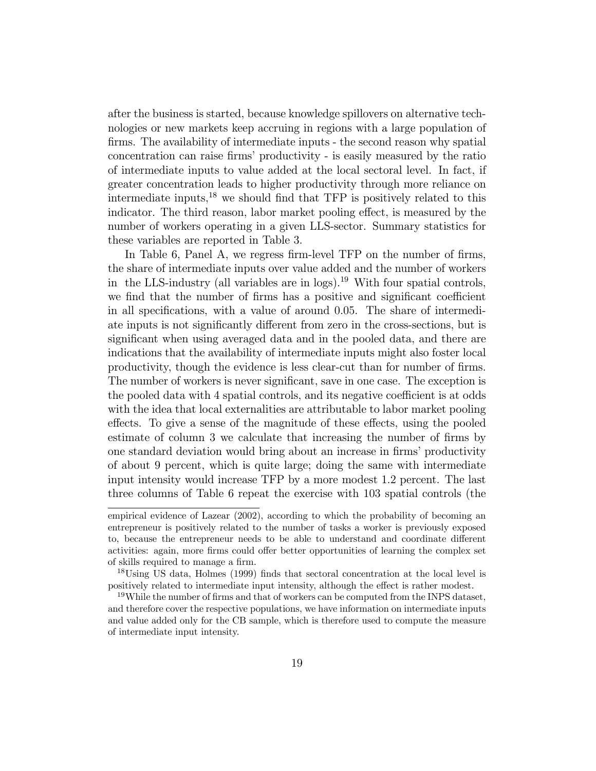after the business is started, because knowledge spillovers on alternative technologies or new markets keep accruing in regions with a large population of firms. The availability of intermediate inputs - the second reason why spatial concentration can raise firms' productivity - is easily measured by the ratio of intermediate inputs to value added at the local sectoral level. In fact, if greater concentration leads to higher productivity through more reliance on intermediate inputs, $^{18}$  we should find that TFP is positively related to this indicator. The third reason, labor market pooling effect, is measured by the number of workers operating in a given LLS-sector. Summary statistics for these variables are reported in Table 3.

In Table 6, Panel A, we regress firm-level TFP on the number of firms, the share of intermediate inputs over value added and the number of workers in the LLS-industry (all variables are in logs).<sup>19</sup> With four spatial controls, we find that the number of firms has a positive and significant coefficient in all specifications, with a value of around 0.05. The share of intermediate inputs is not significantly different from zero in the cross-sections, but is significant when using averaged data and in the pooled data, and there are indications that the availability of intermediate inputs might also foster local productivity, though the evidence is less clear-cut than for number of firms. The number of workers is never significant, save in one case. The exception is the pooled data with 4 spatial controls, and its negative coefficient is at odds with the idea that local externalities are attributable to labor market pooling effects. To give a sense of the magnitude of these effects, using the pooled estimate of column 3 we calculate that increasing the number of firms by one standard deviation would bring about an increase in firms' productivity of about 9 percent, which is quite large; doing the same with intermediate input intensity would increase TFP by a more modest 1.2 percent. The last three columns of Table 6 repeat the exercise with 103 spatial controls (the

empirical evidence of Lazear (2002), according to which the probability of becoming an entrepreneur is positively related to the number of tasks a worker is previously exposed to, because the entrepreneur needs to be able to understand and coordinate different activities: again, more firms could offer better opportunities of learning the complex set of skills required to manage a firm.

<sup>&</sup>lt;sup>18</sup>Using US data, Holmes (1999) finds that sectoral concentration at the local level is positively related to intermediate input intensity, although the effect is rather modest.

<sup>&</sup>lt;sup>19</sup>While the number of firms and that of workers can be computed from the INPS dataset, and therefore cover the respective populations, we have information on intermediate inputs and value added only for the CB sample, which is therefore used to compute the measure of intermediate input intensity.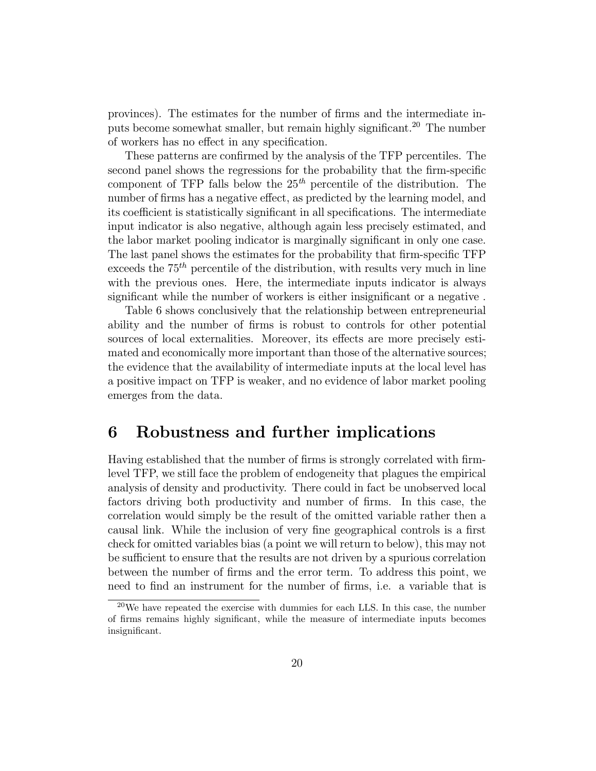provinces). The estimates for the number of firms and the intermediate inputs become somewhat smaller, but remain highly significant.<sup>20</sup> The number of workers has no effect in any specification.

These patterns are confirmed by the analysis of the TFP percentiles. The second panel shows the regressions for the probability that the firm-specific component of TFP falls below the  $25<sup>th</sup>$  percentile of the distribution. The number of firms has a negative effect, as predicted by the learning model, and its coefficient is statistically significant in all specifications. The intermediate input indicator is also negative, although again less precisely estimated, and the labor market pooling indicator is marginally significant in only one case. The last panel shows the estimates for the probability that firm-specific TFP exceeds the  $75<sup>th</sup>$  percentile of the distribution, with results very much in line with the previous ones. Here, the intermediate inputs indicator is always significant while the number of workers is either insignificant or a negative .

Table 6 shows conclusively that the relationship between entrepreneurial ability and the number of firms is robust to controls for other potential sources of local externalities. Moreover, its effects are more precisely estimated and economically more important than those of the alternative sources; the evidence that the availability of intermediate inputs at the local level has a positive impact on TFP is weaker, and no evidence of labor market pooling emerges from the data.

## 6 Robustness and further implications

Having established that the number of firms is strongly correlated with firmlevel TFP, we still face the problem of endogeneity that plagues the empirical analysis of density and productivity. There could in fact be unobserved local factors driving both productivity and number of firms. In this case, the correlation would simply be the result of the omitted variable rather then a causal link. While the inclusion of very fine geographical controls is a first check for omitted variables bias (a point we will return to below), this may not be sufficient to ensure that the results are not driven by a spurious correlation between the number of firms and the error term. To address this point, we need to find an instrument for the number of firms, i.e. a variable that is

<sup>20</sup>We have repeated the exercise with dummies for each LLS. In this case, the number of firms remains highly significant, while the measure of intermediate inputs becomes insignificant.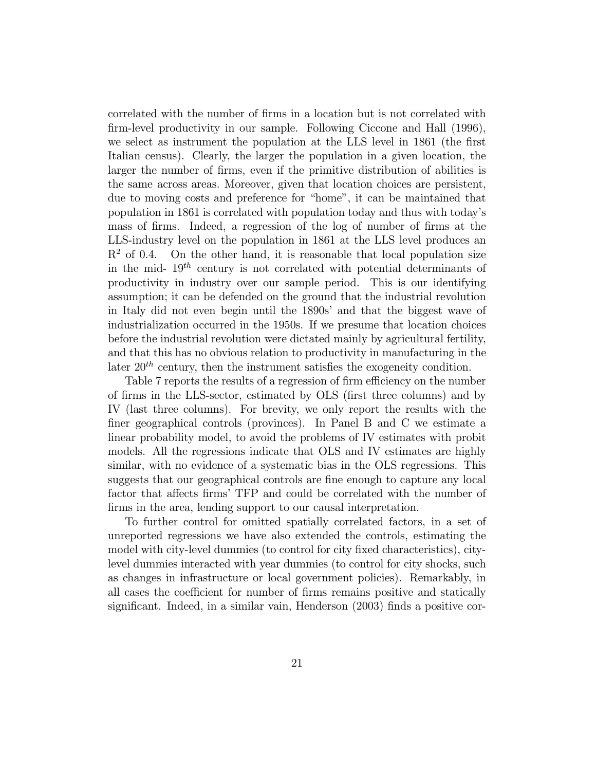correlated with the number of firms in a location but is not correlated with firm-level productivity in our sample. Following Ciccone and Hall (1996), we select as instrument the population at the LLS level in 1861 (the first Italian census). Clearly, the larger the population in a given location, the larger the number of firms, even if the primitive distribution of abilities is the same across areas. Moreover, given that location choices are persistent, due to moving costs and preference for "home", it can be maintained that population in 1861 is correlated with population today and thus with today's mass of firms. Indeed, a regression of the log of number of firms at the LLS-industry level on the population in 1861 at the LLS level produces an  $R<sup>2</sup>$  of 0.4. On the other hand, it is reasonable that local population size in the mid-  $19^{th}$  century is not correlated with potential determinants of productivity in industry over our sample period. This is our identifying assumption; it can be defended on the ground that the industrial revolution in Italy did not even begin until the 1890s' and that the biggest wave of industrialization occurred in the 1950s. If we presume that location choices before the industrial revolution were dictated mainly by agricultural fertility, and that this has no obvious relation to productivity in manufacturing in the later  $20<sup>th</sup>$  century, then the instrument satisfies the exogeneity condition.

Table 7 reports the results of a regression of firm efficiency on the number of firms in the LLS-sector, estimated by OLS (first three columns) and by IV (last three columns). For brevity, we only report the results with the finer geographical controls (provinces). In Panel B and C we estimate a linear probability model, to avoid the problems of IV estimates with probit models. All the regressions indicate that OLS and IV estimates are highly similar, with no evidence of a systematic bias in the OLS regressions. This suggests that our geographical controls are fine enough to capture any local factor that affects firms' TFP and could be correlated with the number of firms in the area, lending support to our causal interpretation.

To further control for omitted spatially correlated factors, in a set of unreported regressions we have also extended the controls, estimating the model with city-level dummies (to control for city fixed characteristics), citylevel dummies interacted with year dummies (to control for city shocks, such as changes in infrastructure or local government policies). Remarkably, in all cases the coefficient for number of firms remains positive and statically significant. Indeed, in a similar vain, Henderson (2003) finds a positive cor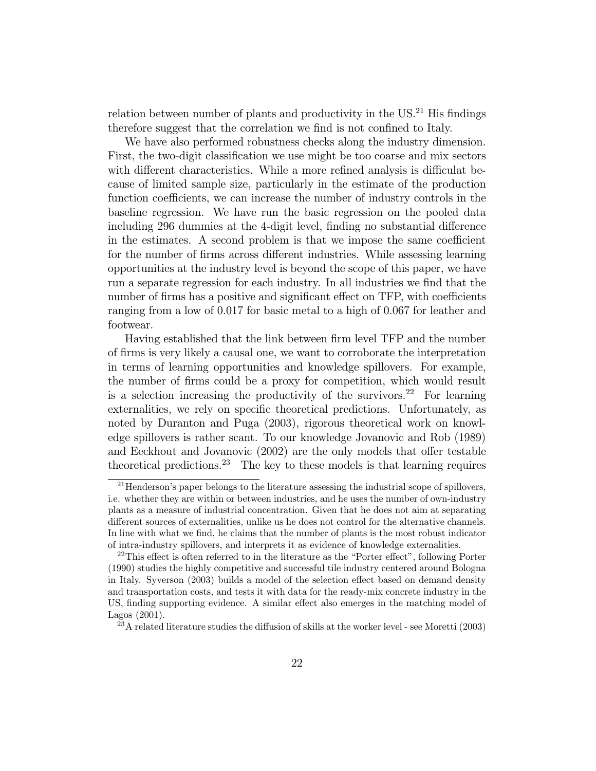relation between number of plants and productivity in the  $US^{21}$  His findings therefore suggest that the correlation we find is not confined to Italy.

We have also performed robustness checks along the industry dimension. First, the two-digit classification we use might be too coarse and mix sectors with different characteristics. While a more refined analysis is difficulat because of limited sample size, particularly in the estimate of the production function coefficients, we can increase the number of industry controls in the baseline regression. We have run the basic regression on the pooled data including 296 dummies at the 4-digit level, finding no substantial difference in the estimates. A second problem is that we impose the same coefficient for the number of firms across different industries. While assessing learning opportunities at the industry level is beyond the scope of this paper, we have run a separate regression for each industry. In all industries we find that the number of firms has a positive and significant effect on TFP, with coefficients ranging from a low of 0.017 for basic metal to a high of 0.067 for leather and footwear.

Having established that the link between firm level TFP and the number of firms is very likely a causal one, we want to corroborate the interpretation in terms of learning opportunities and knowledge spillovers. For example, the number of firms could be a proxy for competition, which would result is a selection increasing the productivity of the survivors.<sup>22</sup> For learning externalities, we rely on specific theoretical predictions. Unfortunately, as noted by Duranton and Puga (2003), rigorous theoretical work on knowledge spillovers is rather scant. To our knowledge Jovanovic and Rob (1989) and Eeckhout and Jovanovic (2002) are the only models that offer testable theoretical predictions.<sup>23</sup> The key to these models is that learning requires

 $21$  Henderson's paper belongs to the literature assessing the industrial scope of spillovers, i.e. whether they are within or between industries, and he uses the number of own-industry plants as a measure of industrial concentration. Given that he does not aim at separating different sources of externalities, unlike us he does not control for the alternative channels. In line with what we find, he claims that the number of plants is the most robust indicator of intra-industry spillovers, and interprets it as evidence of knowledge externalities.

 $22$ This effect is often referred to in the literature as the "Porter effect", following Porter (1990) studies the highly competitive and successful tile industry centered around Bologna in Italy. Syverson (2003) builds a model of the selection effect based on demand density and transportation costs, and tests it with data for the ready-mix concrete industry in the US, finding supporting evidence. A similar effect also emerges in the matching model of Lagos (2001).

 $^{23}$ A related literature studies the diffusion of skills at the worker level - see Moretti (2003)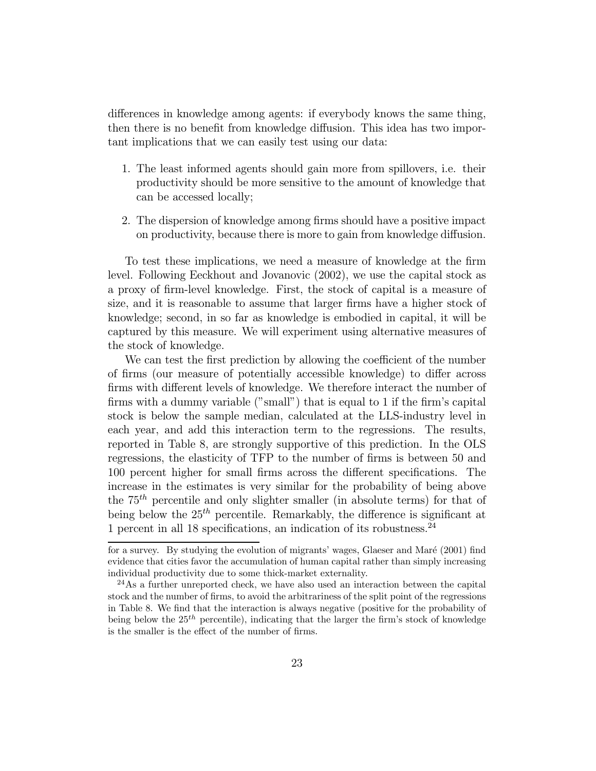differences in knowledge among agents: if everybody knows the same thing, then there is no benefit from knowledge diffusion. This idea has two important implications that we can easily test using our data:

- 1. The least informed agents should gain more from spillovers, i.e. their productivity should be more sensitive to the amount of knowledge that can be accessed locally;
- 2. The dispersion of knowledge among firms should have a positive impact on productivity, because there is more to gain from knowledge diffusion.

To test these implications, we need a measure of knowledge at the firm level. Following Eeckhout and Jovanovic (2002), we use the capital stock as a proxy of firm-level knowledge. First, the stock of capital is a measure of size, and it is reasonable to assume that larger firms have a higher stock of knowledge; second, in so far as knowledge is embodied in capital, it will be captured by this measure. We will experiment using alternative measures of the stock of knowledge.

We can test the first prediction by allowing the coefficient of the number of firms (our measure of potentially accessible knowledge) to differ across firms with different levels of knowledge. We therefore interact the number of firms with a dummy variable ("small") that is equal to 1 if the firm's capital stock is below the sample median, calculated at the LLS-industry level in each year, and add this interaction term to the regressions. The results, reported in Table 8, are strongly supportive of this prediction. In the OLS regressions, the elasticity of TFP to the number of firms is between 50 and 100 percent higher for small firms across the different specifications. The increase in the estimates is very similar for the probability of being above the  $75<sup>th</sup>$  percentile and only slighter smaller (in absolute terms) for that of being below the  $25<sup>th</sup>$  percentile. Remarkably, the difference is significant at 1 percent in all 18 specifications, an indication of its robustness.<sup>24</sup>

for a survey. By studying the evolution of migrants' wages, Glaeser and Maré  $(2001)$  find evidence that cities favor the accumulation of human capital rather than simply increasing individual productivity due to some thick-market externality.

<sup>&</sup>lt;sup>24</sup>As a further unreported check, we have also used an interaction between the capital stock and the number of firms, to avoid the arbitrariness of the split point of the regressions in Table 8. We find that the interaction is always negative (positive for the probability of being below the  $25<sup>th</sup>$  percentile), indicating that the larger the firm's stock of knowledge is the smaller is the effect of the number of firms.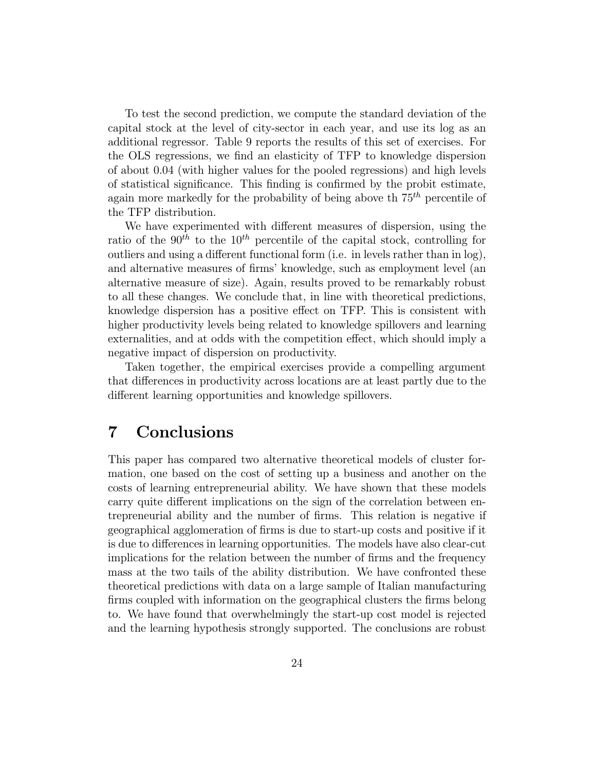To test the second prediction, we compute the standard deviation of the capital stock at the level of city-sector in each year, and use its log as an additional regressor. Table 9 reports the results of this set of exercises. For the OLS regressions, we find an elasticity of TFP to knowledge dispersion of about 0.04 (with higher values for the pooled regressions) and high levels of statistical significance. This finding is confirmed by the probit estimate, again more markedly for the probability of being above the  $75<sup>th</sup>$  percentile of the TFP distribution.

We have experimented with different measures of dispersion, using the ratio of the  $90^{th}$  to the  $10^{th}$  percentile of the capital stock, controlling for outliers and using a different functional form (i.e. in levels rather than in log), and alternative measures of firms' knowledge, such as employment level (an alternative measure of size). Again, results proved to be remarkably robust to all these changes. We conclude that, in line with theoretical predictions, knowledge dispersion has a positive effect on TFP. This is consistent with higher productivity levels being related to knowledge spillovers and learning externalities, and at odds with the competition effect, which should imply a negative impact of dispersion on productivity.

Taken together, the empirical exercises provide a compelling argument that differences in productivity across locations are at least partly due to the different learning opportunities and knowledge spillovers.

## 7 Conclusions

This paper has compared two alternative theoretical models of cluster formation, one based on the cost of setting up a business and another on the costs of learning entrepreneurial ability. We have shown that these models carry quite different implications on the sign of the correlation between entrepreneurial ability and the number of firms. This relation is negative if geographical agglomeration of firms is due to start-up costs and positive if it is due to differences in learning opportunities. The models have also clear-cut implications for the relation between the number of firms and the frequency mass at the two tails of the ability distribution. We have confronted these theoretical predictions with data on a large sample of Italian manufacturing firms coupled with information on the geographical clusters the firms belong to. We have found that overwhelmingly the start-up cost model is rejected and the learning hypothesis strongly supported. The conclusions are robust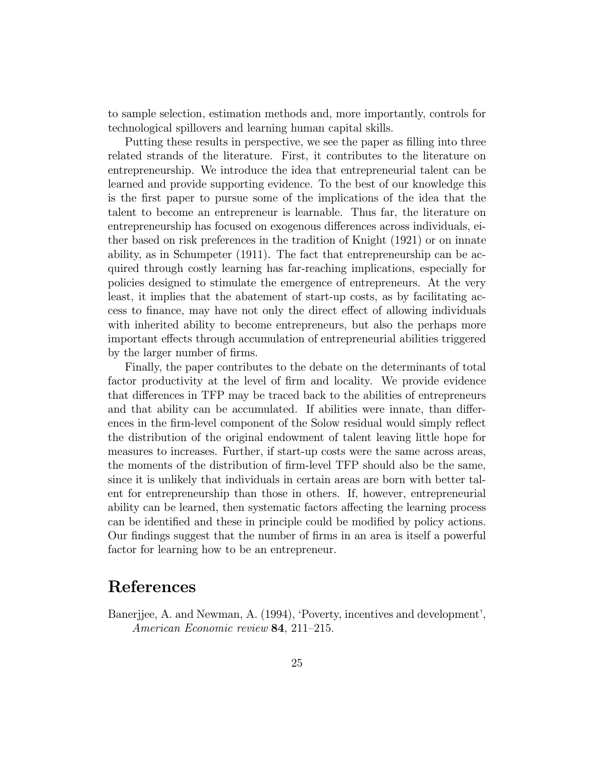to sample selection, estimation methods and, more importantly, controls for technological spillovers and learning human capital skills.

Putting these results in perspective, we see the paper as filling into three related strands of the literature. First, it contributes to the literature on entrepreneurship. We introduce the idea that entrepreneurial talent can be learned and provide supporting evidence. To the best of our knowledge this is the first paper to pursue some of the implications of the idea that the talent to become an entrepreneur is learnable. Thus far, the literature on entrepreneurship has focused on exogenous differences across individuals, either based on risk preferences in the tradition of Knight (1921) or on innate ability, as in Schumpeter (1911). The fact that entrepreneurship can be acquired through costly learning has far-reaching implications, especially for policies designed to stimulate the emergence of entrepreneurs. At the very least, it implies that the abatement of start-up costs, as by facilitating access to finance, may have not only the direct effect of allowing individuals with inherited ability to become entrepreneurs, but also the perhaps more important effects through accumulation of entrepreneurial abilities triggered by the larger number of firms.

Finally, the paper contributes to the debate on the determinants of total factor productivity at the level of firm and locality. We provide evidence that differences in TFP may be traced back to the abilities of entrepreneurs and that ability can be accumulated. If abilities were innate, than differences in the firm-level component of the Solow residual would simply reflect the distribution of the original endowment of talent leaving little hope for measures to increases. Further, if start-up costs were the same across areas, the moments of the distribution of firm-level TFP should also be the same, since it is unlikely that individuals in certain areas are born with better talent for entrepreneurship than those in others. If, however, entrepreneurial ability can be learned, then systematic factors affecting the learning process can be identified and these in principle could be modified by policy actions. Our findings suggest that the number of firms in an area is itself a powerful factor for learning how to be an entrepreneur.

## References

Banerjjee, A. and Newman, A. (1994), 'Poverty, incentives and development', American Economic review 84, 211—215.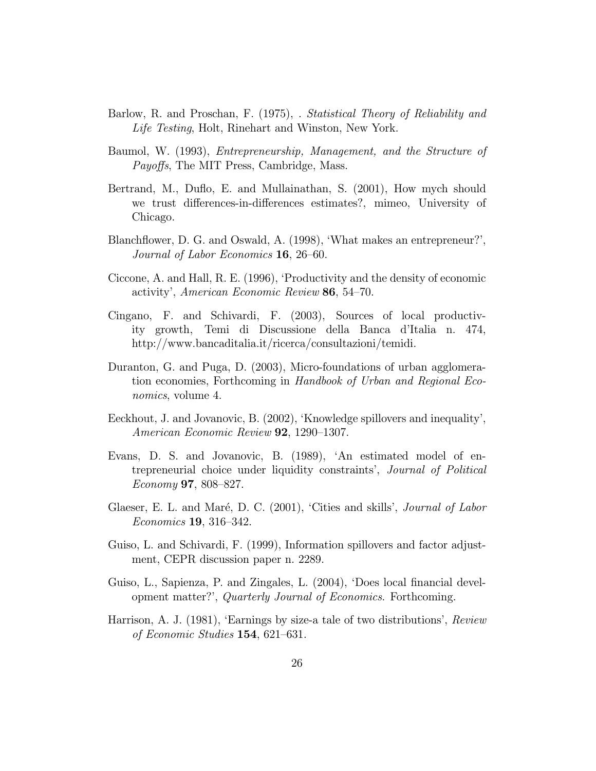- Barlow, R. and Proschan, F. (1975), . Statistical Theory of Reliability and Life Testing, Holt, Rinehart and Winston, New York.
- Baumol, W. (1993), Entrepreneurship, Management, and the Structure of Payoffs, The MIT Press, Cambridge, Mass.
- Bertrand, M., Duflo, E. and Mullainathan, S. (2001), How mych should we trust differences-in-differences estimates?, mimeo, University of Chicago.
- Blanchflower, D. G. and Oswald, A. (1998), 'What makes an entrepreneur?', Journal of Labor Economics 16, 26—60.
- Ciccone, A. and Hall, R. E. (1996), 'Productivity and the density of economic activity', American Economic Review 86, 54—70.
- Cingano, F. and Schivardi, F. (2003), Sources of local productivity growth, Temi di Discussione della Banca d'Italia n. 474, http://www.bancaditalia.it/ricerca/consultazioni/temidi.
- Duranton, G. and Puga, D. (2003), Micro-foundations of urban agglomeration economies, Forthcoming in Handbook of Urban and Regional Economics, volume 4.
- Eeckhout, J. and Jovanovic, B. (2002), 'Knowledge spillovers and inequality', American Economic Review 92, 1290—1307.
- Evans, D. S. and Jovanovic, B. (1989), 'An estimated model of entrepreneurial choice under liquidity constraints', Journal of Political Economy 97, 808—827.
- Glaeser, E. L. and Maré, D. C. (2001), 'Cities and skills', *Journal of Labor* Economics 19, 316—342.
- Guiso, L. and Schivardi, F. (1999), Information spillovers and factor adjustment, CEPR discussion paper n. 2289.
- Guiso, L., Sapienza, P. and Zingales, L. (2004), 'Does local financial development matter?', Quarterly Journal of Economics. Forthcoming.
- Harrison, A. J. (1981), 'Earnings by size-a tale of two distributions', Review of Economic Studies 154, 621—631.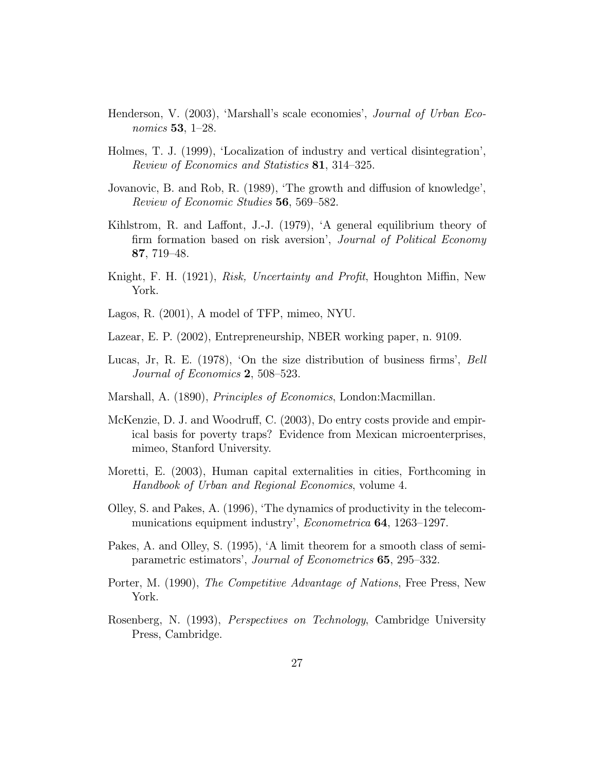- Henderson, V. (2003), 'Marshall's scale economies', Journal of Urban Economics 53, 1—28.
- Holmes, T. J. (1999), 'Localization of industry and vertical disintegration', Review of Economics and Statistics 81, 314—325.
- Jovanovic, B. and Rob, R. (1989), 'The growth and diffusion of knowledge', Review of Economic Studies 56, 569—582.
- Kihlstrom, R. and Laffont, J.-J. (1979), 'A general equilibrium theory of firm formation based on risk aversion', Journal of Political Economy 87, 719—48.
- Knight, F. H. (1921), Risk, Uncertainty and Profit, Houghton Miffin, New York.
- Lagos, R. (2001), A model of TFP, mimeo, NYU.
- Lazear, E. P. (2002), Entrepreneurship, NBER working paper, n. 9109.
- Lucas, Jr, R. E. (1978), 'On the size distribution of business firms', Bell Journal of Economics 2, 508—523.
- Marshall, A. (1890), Principles of Economics, London:Macmillan.
- McKenzie, D. J. and Woodruff, C. (2003), Do entry costs provide and empirical basis for poverty traps? Evidence from Mexican microenterprises, mimeo, Stanford University.
- Moretti, E. (2003), Human capital externalities in cities, Forthcoming in Handbook of Urban and Regional Economics, volume 4.
- Olley, S. and Pakes, A. (1996), 'The dynamics of productivity in the telecommunications equipment industry', *Econometrica* **64**, 1263–1297.
- Pakes, A. and Olley, S. (1995), 'A limit theorem for a smooth class of semiparametric estimators', Journal of Econometrics 65, 295—332.
- Porter, M. (1990), The Competitive Advantage of Nations, Free Press, New York.
- Rosenberg, N. (1993), Perspectives on Technology, Cambridge University Press, Cambridge.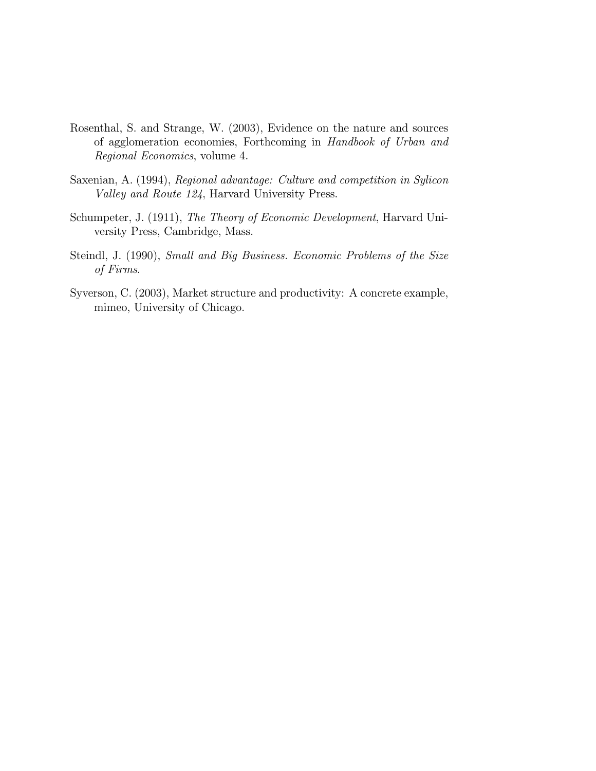- Rosenthal, S. and Strange, W. (2003), Evidence on the nature and sources of agglomeration economies, Forthcoming in Handbook of Urban and Regional Economics, volume 4.
- Saxenian, A. (1994), Regional advantage: Culture and competition in Sylicon Valley and Route 124, Harvard University Press.
- Schumpeter, J. (1911), The Theory of Economic Development, Harvard University Press, Cambridge, Mass.
- Steindl, J. (1990), Small and Big Business. Economic Problems of the Size of Firms.
- Syverson, C. (2003), Market structure and productivity: A concrete example, mimeo, University of Chicago.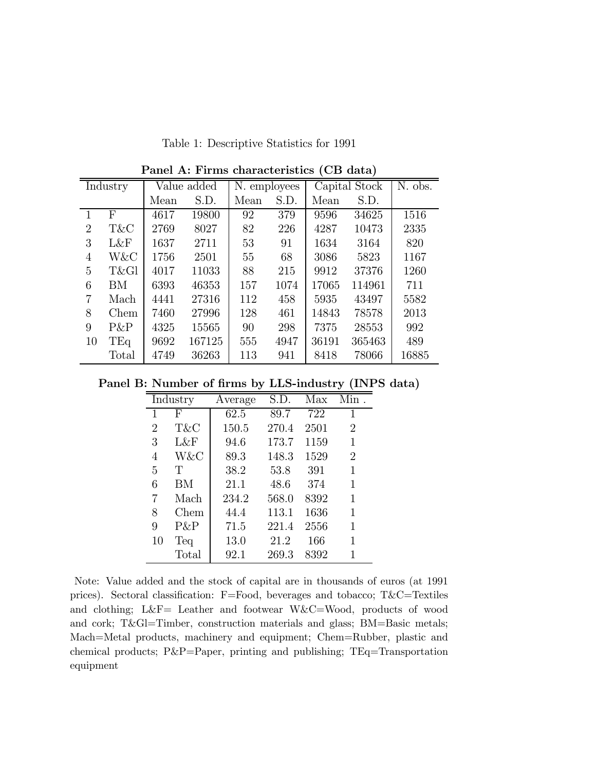Table 1: Descriptive Statistics for 1991

|                | Value added<br>Industry |      | N. employees |      |      | Capital Stock | N. obs. |       |
|----------------|-------------------------|------|--------------|------|------|---------------|---------|-------|
|                |                         | Mean | S.D.         | Mean | S.D. | Mean          | S.D.    |       |
| 1              | F                       | 4617 | 19800        | 92   | 379  | 9596          | 34625   | 1516  |
| $\overline{2}$ | T&C                     | 2769 | 8027         | 82   | 226  | 4287          | 10473   | 2335  |
| 3              | L&F                     | 1637 | 2711         | 53   | 91   | 1634          | 3164    | 820   |
| $\overline{4}$ | W&C                     | 1756 | 2501         | 55   | 68   | 3086          | 5823    | 1167  |
| 5              | T&Gl                    | 4017 | 11033        | 88   | 215  | 9912          | 37376   | 1260  |
| 6              | BM                      | 6393 | 46353        | 157  | 1074 | 17065         | 114961  | 711   |
| 7              | Mach                    | 4441 | 27316        | 112  | 458  | 5935          | 43497   | 5582  |
| 8              | Chem                    | 7460 | 27996        | 128  | 461  | 14843         | 78578   | 2013  |
| 9              | $P\&P$                  | 4325 | 15565        | 90   | 298  | 7375          | 28553   | 992   |
| 10             | TEq                     | 9692 | 167125       | 555  | 4947 | 36191         | 365463  | 489   |
|                | Total                   | 4749 | 36263        | 113  | 941  | 8418          | 78066   | 16885 |

Panel A: Firms characteristics (CB data)

Panel B: Number of firms by LLS-industry (INPS data)

|                | Industry | Average | S.D.  | Max  | Min.           |
|----------------|----------|---------|-------|------|----------------|
| 1              | F        | 62.5    | 89.7  | 722  | 1              |
| $\overline{2}$ | T&C      | 150.5   | 270.4 | 2501 | $\overline{2}$ |
| 3              | L&F      | 94.6    | 173.7 | 1159 | 1              |
| 4              | W&C      | 89.3    | 148.3 | 1529 | $\overline{2}$ |
| 5              | Т        | 38.2    | 53.8  | 391  | 1              |
| 6              | BМ       | 21.1    | 48.6  | 374  | 1              |
| 7              | Mach     | 234.2   | 568.0 | 8392 | 1              |
| 8              | Chem     | 44.4    | 113.1 | 1636 | 1              |
| 9              | P&P      | 71.5    | 221.4 | 2556 | 1              |
| 10             | Teq      | 13.0    | 21.2  | 166  | 1              |
|                | Total    | 92.1    | 269.3 | 8392 | 1              |

Note: Value added and the stock of capital are in thousands of euros (at 1991 prices). Sectoral classification: F=Food, beverages and tobacco; T&C=Textiles and clothing; L&F= Leather and footwear W&C=Wood, products of wood and cork; T&Gl=Timber, construction materials and glass; BM=Basic metals; Mach=Metal products, machinery and equipment; Chem=Rubber, plastic and chemical products; P&P=Paper, printing and publishing; TEq=Transportation equipment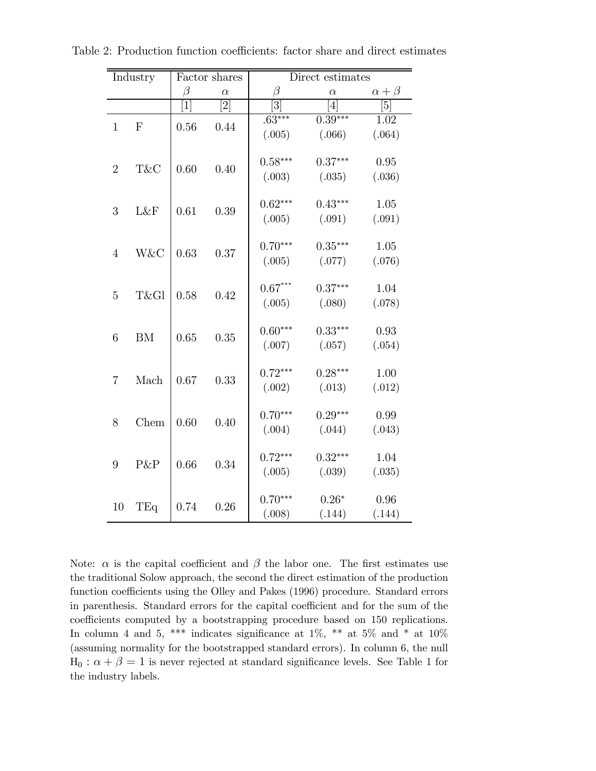| Industry       |            |                   | Factor shares  | Direct estimates |                |                   |  |
|----------------|------------|-------------------|----------------|------------------|----------------|-------------------|--|
|                |            | $\beta$           | $\alpha$       | $\beta$          | $\alpha$       | $\alpha + \beta$  |  |
|                |            | $\lceil 1 \rceil$ | $\overline{2}$ | $\overline{3}$   | $\overline{4}$ | $\overline{[5]}$  |  |
| $\mathbf{1}$   | ${\bf F}$  | 0.56              | 0.44           | $.63***$         | $0.39***$      | $\overline{1.02}$ |  |
|                |            |                   |                | (.005)           | (.066)         | (.064)            |  |
|                |            |                   |                |                  |                |                   |  |
| $\overline{2}$ | T&C        | 0.60              | 0.40           | $0.58***$        | $0.37***$      | 0.95              |  |
|                |            |                   |                | (.003)           | (.035)         | (.036)            |  |
|                |            |                   |                |                  |                |                   |  |
| 3              | L&F        | 0.61              | 0.39           | $0.62***$        | $0.43***$      | 1.05              |  |
|                |            |                   |                | (.005)           | (.091)         | (.091)            |  |
|                |            |                   |                |                  |                |                   |  |
| $\overline{4}$ | W&C        | 0.63              | 0.37           | $0.70***$        | $0.35***$      | 1.05              |  |
|                |            |                   |                | (.005)           | (.077)         | (.076)            |  |
|                |            |                   |                |                  |                |                   |  |
| $\overline{5}$ | T&Gl       | 0.58              | 0.42           | $0.67***$        | $0.37***$      | 1.04              |  |
|                |            |                   |                | (.005)           | (.080)         | (.078)            |  |
|                |            |                   |                |                  |                |                   |  |
| $\sqrt{6}$     | ${\rm BM}$ | 0.65              | 0.35           | $0.60***$        | $0.33***$      | 0.93              |  |
|                |            |                   |                | (.007)           | (.057)         | (.054)            |  |
|                |            |                   |                |                  |                |                   |  |
| $\overline{7}$ | Mach       | 0.67              | 0.33           | $0.72***$        | $0.28***$      | 1.00              |  |
|                |            |                   |                | (.002)           | (.013)         | (.012)            |  |
|                |            |                   |                |                  |                |                   |  |
| 8              | Chem       | 0.60              | 0.40           | $0.70***$        | $0.29***$      | 0.99              |  |
|                |            |                   |                | (.004)           | (.044)         | (.043)            |  |
|                |            |                   |                | $0.72***$        | $0.32***$      | 1.04              |  |
| 9              | P&P        | 0.66              | 0.34           |                  |                |                   |  |
|                |            |                   |                | (.005)           | (.039)         | (.035)            |  |
|                |            |                   |                | $0.70***$        | $0.26*$        | 0.96              |  |
| 10             | TEq        | 0.74              | 0.26           |                  |                |                   |  |
|                |            |                   |                | (.008)           | (.144)         | (.144)            |  |

Table 2: Production function coefficients: factor share and direct estimates

Note:  $\alpha$  is the capital coefficient and  $\beta$  the labor one. The first estimates use the traditional Solow approach, the second the direct estimation of the production function coefficients using the Olley and Pakes (1996) procedure. Standard errors in parenthesis. Standard errors for the capital coefficient and for the sum of the coefficients computed by a bootstrapping procedure based on 150 replications. In column 4 and 5, \*\*\* indicates significance at  $1\%$ , \*\* at  $5\%$  and \* at  $10\%$ (assuming normality for the bootstrapped standard errors). In column 6, the null  $H_0: \alpha + \beta = 1$  is never rejected at standard significance levels. See Table 1 for the industry labels.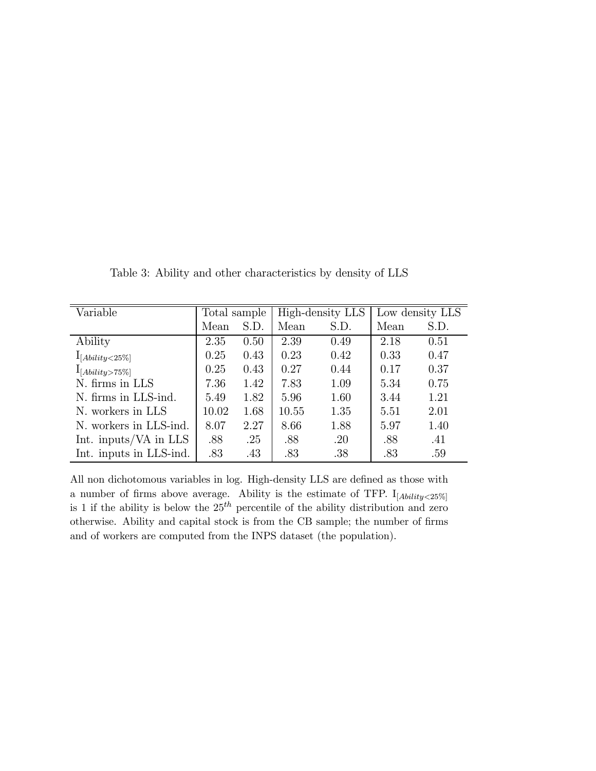| Variable                | Total sample |      | High-density LLS |      | Low density LLS |      |
|-------------------------|--------------|------|------------------|------|-----------------|------|
|                         | Mean         | S.D. | Mean             | S.D. | Mean            | S.D. |
| Ability                 | 2.35         | 0.50 | 2.39             | 0.49 | 2.18            | 0.51 |
| $1_{[Ablity < 25\%]}$   | 0.25         | 0.43 | 0.23             | 0.42 | 0.33            | 0.47 |
| $I_{[Ablity>75\%]}$     | 0.25         | 0.43 | 0.27             | 0.44 | 0.17            | 0.37 |
| N. firms in LLS         | 7.36         | 1.42 | 7.83             | 1.09 | 5.34            | 0.75 |
| N. firms in LLS-ind.    | 5.49         | 1.82 | 5.96             | 1.60 | 3.44            | 1.21 |
| N. workers in LLS       | 10.02        | 1.68 | 10.55            | 1.35 | 5.51            | 2.01 |
| N. workers in LLS-ind.  | 8.07         | 2.27 | 8.66             | 1.88 | 5.97            | 1.40 |
| Int. inputs/VA in LLS   | .88          | .25  | .88              | .20  | .88             | .41  |
| Int. inputs in LLS-ind. | .83          | .43  | .83              | .38  | .83             | .59  |

Table 3: Ability and other characteristics by density of LLS

All non dichotomous variables in log. High-density LLS are defined as those with a number of firms above average. Ability is the estimate of TFP.  $I_{[Ability<25\%]}$ is 1 if the ability is below the  $25<sup>th</sup>$  percentile of the ability distribution and zero otherwise. Ability and capital stock is from the CB sample; the number of firms and of workers are computed from the INPS dataset (the population).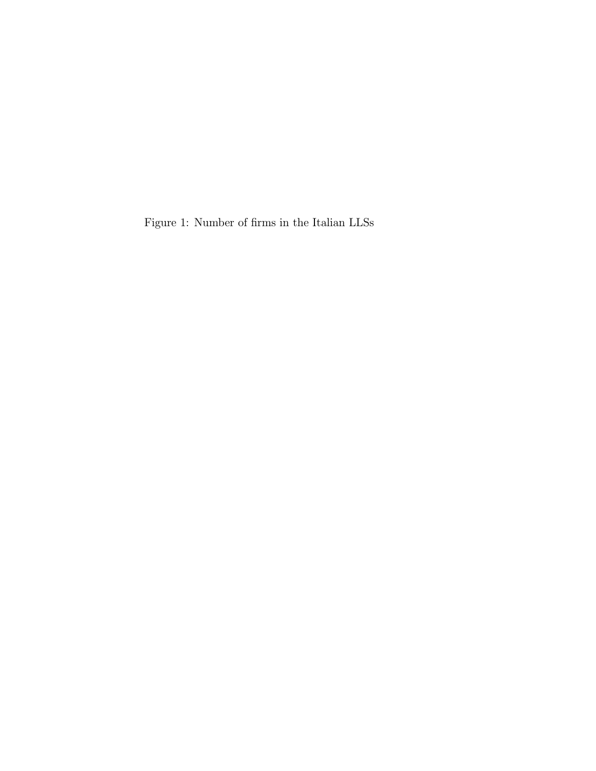Figure 1: Number of firms in the Italian LLSs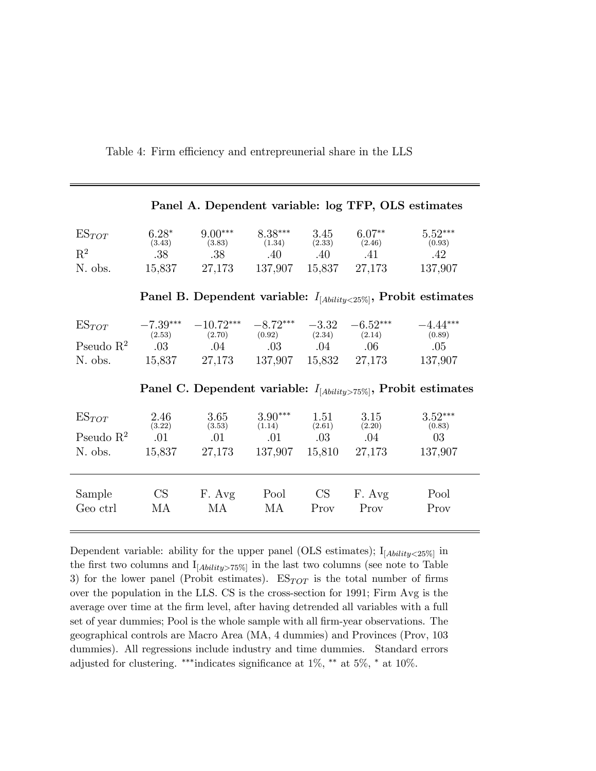Table 4: Firm efficiency and entrepreunerial share in the LLS

| Panel A. Dependent variable: log TFP, OLS estimates                    |                                                                              |                       |                      |                   |                       |                                 |  |  |  |  |
|------------------------------------------------------------------------|------------------------------------------------------------------------------|-----------------------|----------------------|-------------------|-----------------------|---------------------------------|--|--|--|--|
| $ES_{TOT}$                                                             | $6.28*$<br>(3.43)                                                            | $9.00***$<br>(3.83)   | $8.38***$<br>(1.34)  | 3.45<br>(2.33)    | $6.07**$<br>(2.46)    | $5.52^{\ast\ast\ast}$<br>(0.93) |  |  |  |  |
| $R^2$                                                                  | .38                                                                          | .38                   | .40                  | $.40\,$           | .41                   | .42                             |  |  |  |  |
| N. obs.                                                                | 15,837                                                                       | 27,173                | 137,907 15,837       |                   | 27,173                | 137,907                         |  |  |  |  |
| Panel B. Dependent variable: $I_{[Ability < 25\%]}$ , Probit estimates |                                                                              |                       |                      |                   |                       |                                 |  |  |  |  |
| $ES_{TOT}$                                                             | $-7.39***$<br>(2.53)                                                         | $-10.72***$<br>(2.70) | $-8.72***$<br>(0.92) | $-3.32$<br>(2.34) | $-6.52***$<br>(2.14)  | $-4.44***$<br>(0.89)            |  |  |  |  |
| Pseudo $R^2$                                                           | .03                                                                          | .04                   | $.03 \t\t 0.04$      |                   | $.06\,$               | .05                             |  |  |  |  |
| N. obs.                                                                |                                                                              | 15,837 27,173         |                      |                   | 137,907 15,832 27,173 | 137,907                         |  |  |  |  |
|                                                                        | Panel C. Dependent variable: $I_{[A\{biliity\geq 75\%}]}$ , Probit estimates |                       |                      |                   |                       |                                 |  |  |  |  |
| $ES_{TOT}$                                                             | 2.46<br>(3.22)                                                               | 3.65<br>(3.53)        | $3.90***$<br>(1.14)  | 1.51<br>(2.61)    | 3.15<br>(2.20)        | $3.52***$<br>(0.83)             |  |  |  |  |
| Pseudo $R^2$                                                           | .01                                                                          | .01                   | .01                  | .03               | $.04\,$               | - 03                            |  |  |  |  |
| N. obs.                                                                | 15,837                                                                       | 27,173                | 137,907 15,810       |                   | 27,173                | 137,907                         |  |  |  |  |
| Sample                                                                 | CS                                                                           | F. Avg                | Pool                 | CS                | F. Avg                | Pool                            |  |  |  |  |
| Geo ctrl                                                               | МA                                                                           | МA                    | МA                   | Prov              | Prov                  | Prov                            |  |  |  |  |

Dependent variable: ability for the upper panel (OLS estimates);  $I_{[Ability<25\%]}$  in the first two columns and  $I_{[Ability>75\%]}$  in the last two columns (see note to Table 3) for the lower panel (Probit estimates).  $ES_{TOT}$  is the total number of firms over the population in the LLS. CS is the cross-section for 1991; Firm Avg is the average over time at the firm level, after having detrended all variables with a full set of year dummies; Pool is the whole sample with all firm-year observations. The geographical controls are Macro Area (MA, 4 dummies) and Provinces (Prov, 103 dummies). All regressions include industry and time dummies. Standard errors adjusted for clustering. ∗∗∗indicates significance at 1%, ∗∗ at 5%, ∗ at 10%.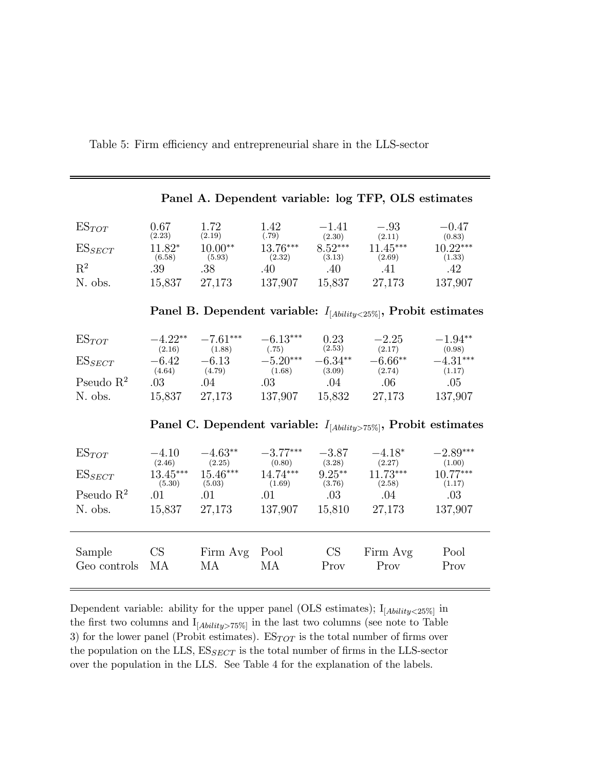Table 5: Firm efficiency and entrepreneurial share in the LLS-sector

| Panel A. Dependent variable: log TFP, OLS estimates                    |                                                                      |                      |                      |                     |                      |                      |  |  |  |
|------------------------------------------------------------------------|----------------------------------------------------------------------|----------------------|----------------------|---------------------|----------------------|----------------------|--|--|--|
| $ES_{TOT}$                                                             | 0.67<br>(2.23)                                                       | 1.72<br>(2.19)       | 1.42<br>(.79)        | $-1.41$<br>(2.30)   | $-.93$<br>(2.11)     | $-0.47$<br>(0.83)    |  |  |  |
| $ES_{SECT}$                                                            | $11.82*$<br>(6.58)                                                   | $10.00**$<br>(5.93)  | $13.76***$<br>(2.32) | $8.52***$<br>(3.13) | $11.45***$<br>(2.69) | $10.22***$<br>(1.33) |  |  |  |
| $\mathbf{R}^2$                                                         | .39                                                                  | .38                  | .40                  | .40                 | .41                  | .42                  |  |  |  |
| N. obs.                                                                | 15,837                                                               | 27,173               | 137,907              | 15,837              | 27,173               | 137,907              |  |  |  |
| Panel B. Dependent variable: $I_{[Ability < 25\%]}$ , Probit estimates |                                                                      |                      |                      |                     |                      |                      |  |  |  |
| $ES_{TOT}$                                                             | $-4.22**$<br>(2.16)                                                  | $-7.61***$<br>(1.88) | $-6.13***$<br>(.75)  | 0.23<br>(2.53)      | $-2.25$<br>(2.17)    | $-1.94**$<br>(0.98)  |  |  |  |
| $ES_{SECT}$                                                            | $-6.42$                                                              | $-6.13$              | $-5.20***$           | $-6.34**$           | $-6.66**$            | $-4.31***$           |  |  |  |
| Pseudo $\mathbb{R}^2$                                                  | (4.64)<br>.03                                                        | (4.79)<br>.04        | (1.68)<br>.03        | (3.09)<br>.04       | (2.74)<br>$.06\,$    | (1.17)<br>.05        |  |  |  |
| N. obs.                                                                |                                                                      | 15,837 27,173        | 137,907              | 15,832              | 27,173               | 137,907              |  |  |  |
|                                                                        | Panel C. Dependent variable: $I_{[Ability>75\%]}$ , Probit estimates |                      |                      |                     |                      |                      |  |  |  |
| $ES_{TOT}$                                                             | $-4.10$<br>(2.46)                                                    | $-4.63**$<br>(2.25)  | $-3.77***$<br>(0.80) | $-3.87$<br>(3.28)   | $-4.18*$<br>(2.27)   | $-2.89***$<br>(1.00) |  |  |  |
| $ES_{SECT}$                                                            | $13.45***$<br>(5.30)                                                 | $15.46***$<br>(5.03) | $14.74***$<br>(1.69) | $9.25***$<br>(3.76) | $11.73***$<br>(2.58) | 10.77***<br>(1.17)   |  |  |  |
| Pseudo $R^2$                                                           | .01                                                                  | .01                  | .01                  | $.03\,$             | $.04\,$              | .03                  |  |  |  |
| N. obs.                                                                |                                                                      | 15,837 27,173        | 137,907              | 15,810              | 27,173               | 137,907              |  |  |  |
| Sample                                                                 | CS                                                                   | Firm Avg             | Pool                 | CS                  | Firm Avg             | Pool                 |  |  |  |
| Geo controls                                                           | МA                                                                   | МA                   | МA                   | Prov                | Prov                 | Prov                 |  |  |  |

Dependent variable: ability for the upper panel (OLS estimates);  $I_{[Ability<25\%]}$  in the first two columns and  $\mathcal{I}_{[Ability>75\%]}$  in the last two columns (see note to Table 3) for the lower panel (Probit estimates).  $ES_{TOT}$  is the total number of firms over the population on the LLS,  $ES_{SECT}$  is the total number of firms in the LLS-sector over the population in the LLS. See Table 4 for the explanation of the labels.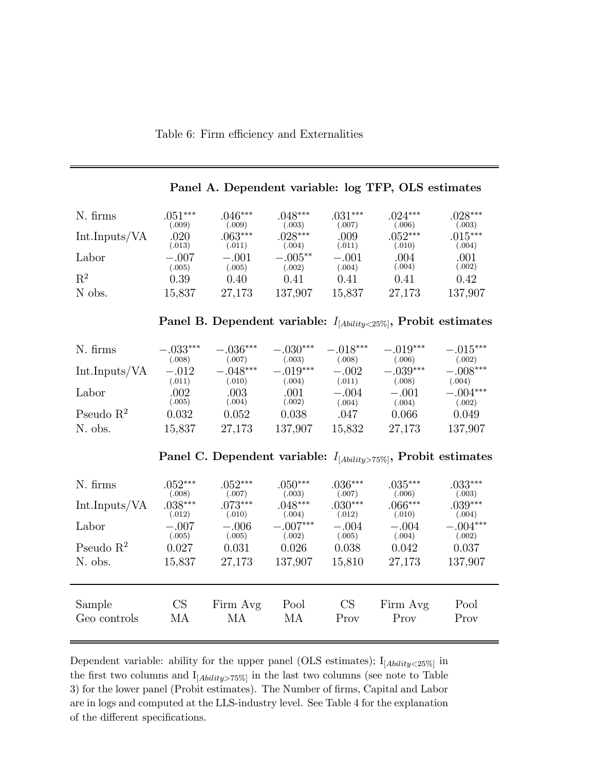#### Table 6: Firm efficiency and Externalities

| N. firms       | $.051***$  | $.046***$ | $.048***$  | $.031***$ | $.024***$ | $.028***$ |
|----------------|------------|-----------|------------|-----------|-----------|-----------|
|                | 0.009)     | 009       | (.003)     | (.007)    | (.006)    | (.003)    |
| Int.Inputs/VA  | .020       | $063***$  | $028***$   | .009      | $.052***$ | $015***$  |
|                | (.013)     | (.011)    | (.004)     | (.011)    | (.010)    | (.004)    |
| Labor          | $-.007$    | $-.001$   | $-.005***$ | $-.001$   | 004       | .001      |
|                | 0.005)     | 005)      | (.002)     | (.004)    | (.004)    | (.002)    |
| $\mathrm{R}^2$ | $\rm 0.39$ | 0.40      | 0.41       | 0.41      | 0.41      | 0.42      |
| N obs.         | 15,837     | 27,173    | 137,907    | 15,837    | 27,173    | 137,907   |

#### Panel A. Dependent variable: log TFP, OLS estimates

### Panel B. Dependent variable:  $I_{[Ability < 25\%]}$ , Probit estimates

| N. firms      | $-.033***$ | $-.036***$ | $-.030***$ | $-.018***$ | $-.019***$ | $-.015***$ |
|---------------|------------|------------|------------|------------|------------|------------|
|               | (.008)     | (.007)     | (.003)     | (.008)     | (.006)     | (.002)     |
| Int.Inputs/VA | $-.012$    | $-.048***$ | $-.019***$ | $-.002$    | $-.039***$ | $-.008***$ |
|               | (.011)     | (.010)     | (.004)     | (.011)     | (.008)     | (.004)     |
| Labor         | .002       | $.003\,$   | .001       | $-.004$    | $-.001$    | $-.004***$ |
|               | (.005)     | 0.004)     | (.002)     | (.004)     | (.004)     | (.002)     |
| Pseudo $R^2$  | 0.032      | 0.052      | 0.038      | .047       | 0.066      | 0.049      |
| N. obs.       | 15,837     | 27,173     | 137,907    | 15,832     | 27,173     | 137,907    |

Panel C. Dependent variable:  $I_{[Ability>75\%]}$ , Probit estimates

| N. firms      | $.052***$ | $.052***$ | $.050***$  | $.036***$ | $.035***$ | $.033***$  |
|---------------|-----------|-----------|------------|-----------|-----------|------------|
|               | (.008)    | (.007)    | (.003)     | (.007)    | (.006)    | (.003)     |
| Int.Inputs/VA | $.038***$ | $.073***$ | $.048***$  | $.030***$ | $.066***$ | $.039***$  |
|               | (.012)    | (.010)    | (.004)     | (.012)    | (.010)    | (.004)     |
| Labor         | $-.007$   | $-.006$   | $-.007***$ | $-.004$   | $-.004$   | $-.004***$ |
|               | (.005)    | (.005)    | (.002)     | (.005)    | (.004)    | (.002)     |
| Pseudo $R^2$  | 0.027     | 0.031     | 0.026      | 0.038     | 0.042     | 0.037      |
| N. obs.       | 15,837    | 27,173    | 137,907    | 15,810    | 27,173    | 137,907    |
| Sample        | CS        | Firm Avg  | Pool       | CS        | Firm Avg  | Pool       |
| Geo controls  | МA        | МA        | МA         | Prov      | Prov      | Prov       |

Dependent variable: ability for the upper panel (OLS estimates);  $I_{[Ability<25\%]}$  in the first two columns and  $I_{[Ability>75\%]}$  in the last two columns (see note to Table 3) for the lower panel (Probit estimates). The Number of firms, Capital and Labor are in logs and computed at the LLS-industry level. See Table 4 for the explanation of the different specifications.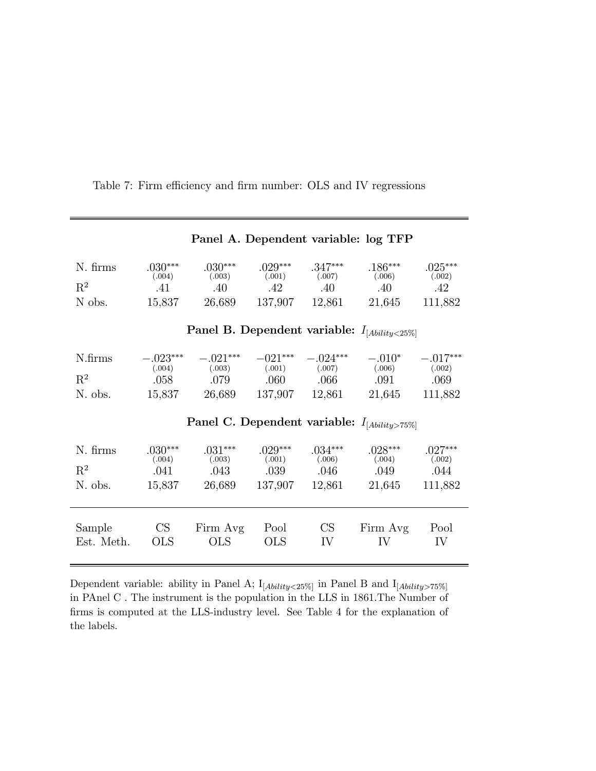| Panel A. Dependent variable: log TFP                |                                        |                                      |                                       |                                                      |                                                   |                                         |  |  |  |
|-----------------------------------------------------|----------------------------------------|--------------------------------------|---------------------------------------|------------------------------------------------------|---------------------------------------------------|-----------------------------------------|--|--|--|
| N. firms<br>$\mathrm{R}^2$<br>N obs.                | $.030***$<br>(.004)<br>.41<br>15,837   | $.030***$<br>(.003)<br>.40<br>26,689 | $.029***$<br>(.001)<br>.42<br>137,907 | $.347***$<br>(.007)<br>.40<br>12,861                 | $.186***$<br>(.006)<br>.40<br>21,645              | $.025***$<br>(.002)<br>.42<br>111,882   |  |  |  |
| Panel B. Dependent variable: $I_{[Ability < 25\%]}$ |                                        |                                      |                                       |                                                      |                                                   |                                         |  |  |  |
| N.firms<br>$R^2$<br>N. obs.                         | $-.023***$<br>(.004)<br>.058<br>15,837 | $-.021***$<br>(.003)<br>.079         | $-021***$<br>(.001)                   | $-.024***$<br>$.060$ $.066$<br>26,689 137,907 12,861 | $-.010*$<br>$(.007)$ $(.006)$<br>.091<br>21,645   | $-.017***$<br>(.002)<br>.069<br>111,882 |  |  |  |
|                                                     |                                        |                                      |                                       |                                                      | Panel C. Dependent variable: $I_{[Ability>75\%]}$ |                                         |  |  |  |
| N. firms<br>$R^2$<br>N. obs.                        | $.030***$<br>(.004)<br>.041<br>15,837  | $.031***$<br>(.003)<br>.043          | $.029***$<br>(.001)<br>.039 .046      | $.034***$<br>(.006)<br>26,689 137,907 12,861         | $.028***$<br>(.004)<br>.049<br>21,645             | $.027***$<br>(.002)<br>.044<br>111,882  |  |  |  |
| Sample<br>Est. Meth.                                | CS<br><b>OLS</b>                       | Firm Avg<br><b>OLS</b>               | Pool<br><b>OLS</b>                    | CS<br>IV                                             | Firm Avg<br>IV                                    | Pool<br>IV                              |  |  |  |

Table 7: Firm efficiency and firm number: OLS and IV regressions

Dependent variable: ability in Panel A;  $I_{[Ability < 25\%]}$  in Panel B and  $I_{[Ability > 75\%]}$ in PAnel C . The instrument is the population in the LLS in 1861.The Number of firms is computed at the LLS-industry level. See Table 4 for the explanation of the labels.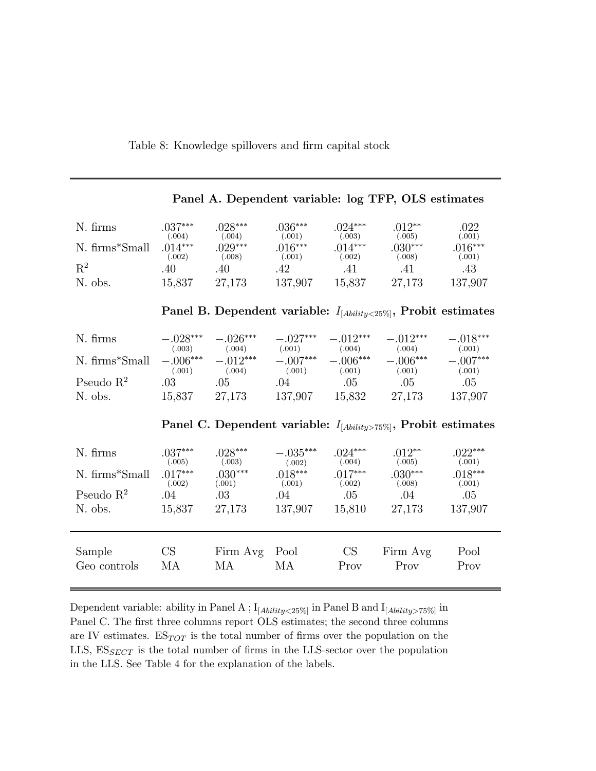Table 8: Knowledge spillovers and firm capital stock

| Panel A. Dependent variable: log TFP, OLS estimates                    |                                |                                |                                |                                |                                                                      |                                |  |  |  |
|------------------------------------------------------------------------|--------------------------------|--------------------------------|--------------------------------|--------------------------------|----------------------------------------------------------------------|--------------------------------|--|--|--|
| N. firms                                                               | $.037***$<br>(.004)            | $.028***$<br>(.004)            | $.036***$<br>(.001)            | $.024***$<br>(.003)            | $.012**$<br>(.005)                                                   | .022<br>(.001)                 |  |  |  |
| N. firms*Small                                                         | $.014***$<br>(.002)            | $.029***$<br>(.008)            | $.016***$<br>(.001)            | $.014***$<br>(.002)            | $.030***$<br>(.008)                                                  | $.016***$<br>(.001)            |  |  |  |
| $\mathbf{R}^2$                                                         | .40                            | .40                            | .42                            | .41                            | .41                                                                  | .43                            |  |  |  |
| N. obs.                                                                | 15,837                         | 27,173                         | 137,907                        | 15,837                         | 27,173                                                               | 137,907                        |  |  |  |
| Panel B. Dependent variable: $I_{[Ability < 25\%]}$ , Probit estimates |                                |                                |                                |                                |                                                                      |                                |  |  |  |
| N. firms                                                               | $-.028***$                     | $-.026***$                     | $-.027***$                     | $-.012***$                     | $-.012***$                                                           | $-.018***$                     |  |  |  |
| N. firms*Small                                                         | (.003)<br>$-.006***$<br>(.001) | (.004)<br>$-.012***$<br>(.004) | (.001)<br>$-.007***$<br>(.001) | (.004)<br>$-.006***$<br>(.001) | (.004)<br>$-.006***$<br>(.001)                                       | (.001)<br>$-.007***$<br>(.001) |  |  |  |
| Pseudo $\mathbb{R}^2$                                                  | $.03\,$                        | .05                            | .04                            | .05                            | .05                                                                  | .05                            |  |  |  |
| N. obs.                                                                | 15,837                         | 27,173                         | 137,907                        | 15,832                         | 27,173                                                               | 137,907                        |  |  |  |
|                                                                        |                                |                                |                                |                                | Panel C. Dependent variable: $I_{[Ability>75\%]}$ , Probit estimates |                                |  |  |  |
| N. firms                                                               | $.037***$<br>(.005)            | $.028***$<br>(.003)            | $-.035***$<br>(.002)           | $.024***$<br>(.004)            | $.012**$<br>(.005)                                                   | $.022***$<br>(.001)            |  |  |  |
| N. firms*Small                                                         | $.017***$<br>(.002)            | $.030***$<br>(.001)            | $.018***$<br>(.001)            | $.017***$<br>(.002)            | $.030***$<br>(.008)                                                  | $.018***$<br>(.001)            |  |  |  |
| Pseudo $\mathbb{R}^2$                                                  | .04                            | .03                            | .04                            | .05                            | $.04\,$                                                              | .05                            |  |  |  |
| N. obs.                                                                | 15,837                         | 27,173                         | 137,907                        | 15,810                         | 27,173                                                               | 137,907                        |  |  |  |
| Sample                                                                 | CS                             | Firm Avg Pool                  |                                | CS                             | Firm Avg                                                             | Pool                           |  |  |  |
| Geo controls                                                           | МA                             | МA                             | МA                             | Prov                           | Prov                                                                 | Prov                           |  |  |  |

Dependent variable: ability in Panel A ;  $I_{[Ability < 25\%]}$  in Panel B and  $I_{[Ability > 75\%]}$  in Panel C. The first three columns report OLS estimates; the second three columns are IV estimates.  $ES_{TOT}$  is the total number of firms over the population on the LLS,  $ES_{SECT}$  is the total number of firms in the LLS-sector over the population in the LLS. See Table 4 for the explanation of the labels.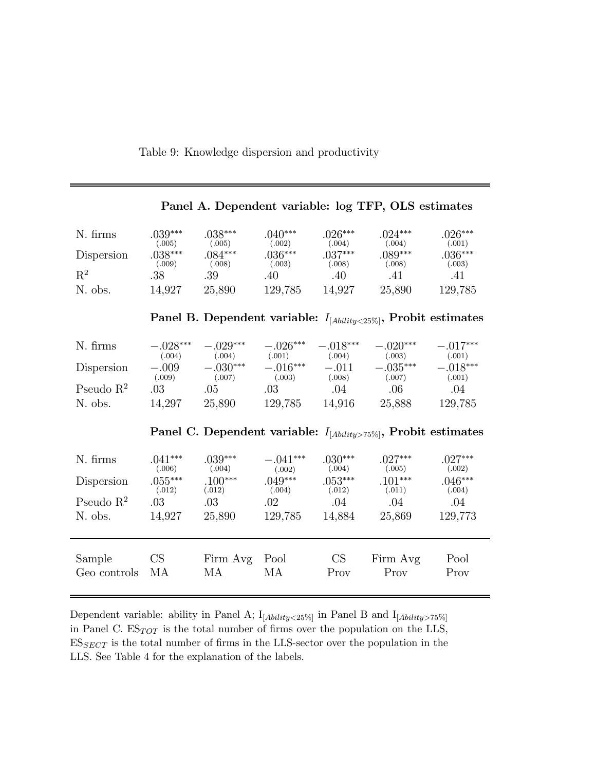Table 9: Knowledge dispersion and productivity

|                                                                        |                      |                      |                      |                      | танет н. веренаено уатарие, тод тттт, отвереннатель                          |                      |  |  |
|------------------------------------------------------------------------|----------------------|----------------------|----------------------|----------------------|------------------------------------------------------------------------------|----------------------|--|--|
| N. firms                                                               | $.039***$<br>(.005)  | $.038***$<br>(.005)  | $.040***$<br>(.002)  | $.026***$<br>(.004)  | $.024***$<br>(.004)                                                          | $.026***$<br>(.001)  |  |  |
| Dispersion                                                             | $.038***$<br>(.009)  | $.084***$<br>(.008)  | $.036***$<br>(.003)  | $.037***$<br>(.008)  | $.089***$<br>(.008)                                                          | $.036***$<br>(.003)  |  |  |
| $\mathbf{R}^2$                                                         | .38                  | .39                  | .40                  | .40                  | .41                                                                          | .41                  |  |  |
| N. obs.                                                                | 14,927               | 25,890               | 129,785              | 14,927               | 25,890                                                                       | 129,785              |  |  |
| Panel B. Dependent variable: $I_{[Ability < 25\%]}$ , Probit estimates |                      |                      |                      |                      |                                                                              |                      |  |  |
| N. firms                                                               | $-.028***$<br>(.004) | $-.029***$<br>(.004) | $-.026***$<br>(.001) | $-.018***$<br>(.004) | $-.020***$<br>(.003)                                                         | $-.017***$<br>(.001) |  |  |
| Dispersion                                                             | $-.009$<br>(.009)    | $-.030***$<br>(.007) | $-.016***$<br>(.003) | $-.011$<br>(.008)    | $-.035***$<br>(.007)                                                         | $-.018***$<br>(.001) |  |  |
| Pseudo $R^2$                                                           | .03                  | .05                  | .03                  | $.04\,$              | $.06\,$                                                                      | .04                  |  |  |
| N. obs.                                                                | 14,297               | 25,890               | 129,785              | 14,916               | 25,888                                                                       | 129,785              |  |  |
|                                                                        |                      |                      |                      |                      | Panel C. Dependent variable: $I_{[A\{biliity\geq 75\%}\}$ , Probit estimates |                      |  |  |
| N. firms                                                               | $.041***$<br>(.006)  | $.039***$<br>(.004)  | $-.041***$<br>(.002) | $.030***$<br>(.004)  | $.027***$<br>(.005)                                                          | $.027***$<br>(.002)  |  |  |
| Dispersion                                                             | $.055***$<br>(.012)  | $.100***$<br>(.012)  | $.049***$<br>(.004)  | $.053***$<br>(.012)  | $.101***$<br>(.011)                                                          | $.046***$<br>(.004)  |  |  |
| Pseudo $R^2$                                                           | .03                  | $.03\,$              | $.02\,$              | $.04\,$              | $.04\,$                                                                      | .04                  |  |  |
| N. obs.                                                                | 14,927               | 25,890               | 129,785              | 14,884               | 25,869                                                                       | 129,773              |  |  |
| Sample<br>Geo controls                                                 | CS<br>MA             | Firm Avg Pool<br>MA  | MA                   | CS<br>Prov           | Firm Avg<br>Prov                                                             | Pool<br>Prov         |  |  |
|                                                                        |                      |                      |                      |                      |                                                                              |                      |  |  |

Panel A. Dependent variable: log TFP, OLS estimates

Dependent variable: ability in Panel A;  $I_{[Ability < 25\%]}$  in Panel B and  $I_{[Ability > 75\%]}$ in Panel C.  $ES_{TOT}$  is the total number of firms over the population on the LLS,  $ES_{SECTION}$  is the total number of firms in the LLS-sector over the population in the LLS. See Table 4 for the explanation of the labels.